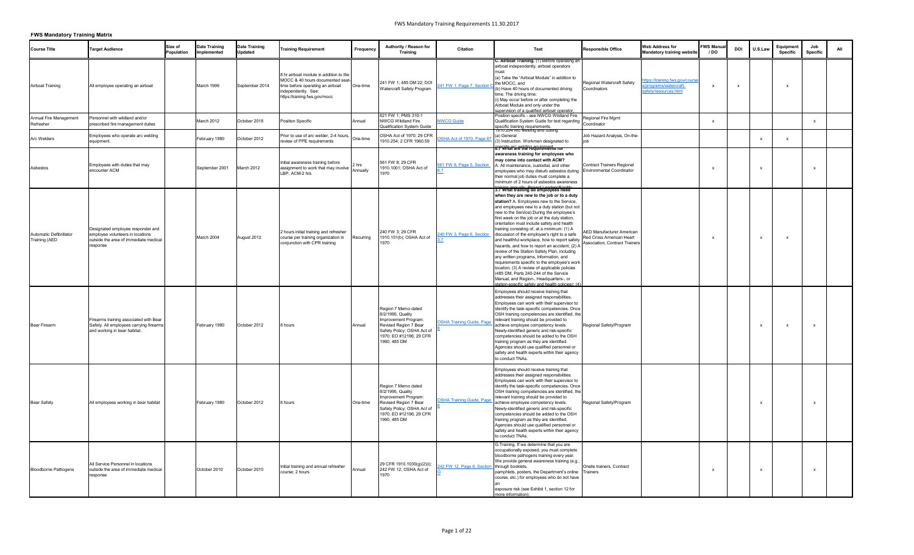| <b>Course Title</b>                             | <b>Target Audience</b>                                                                                                     | Size of<br><b>Population</b> | <b>Date Training</b><br>Implemented | <b>Date Training</b><br><b>Updated</b> | <b>Training Requirement</b>                                                                                                                                           | Frequency         | Authority / Reason for<br><b>Training</b>                                                                                                                          | <b>Citation</b>                  | Text                                                                                                                                                                                                                                                                                                                                                                                                                                                                                                                                                                                                                                                                                                                                                                                                                                                                   | <b>Responsible Office</b>                                                                             | <b>Web Address for</b><br><b>Mandatory training website</b>                      | <b>FWS Manual</b><br>/DO | <b>DOI</b>   | U.S.Law | Equipment<br>Specific | Job<br><b>Specific</b> |  |
|-------------------------------------------------|----------------------------------------------------------------------------------------------------------------------------|------------------------------|-------------------------------------|----------------------------------------|-----------------------------------------------------------------------------------------------------------------------------------------------------------------------|-------------------|--------------------------------------------------------------------------------------------------------------------------------------------------------------------|----------------------------------|------------------------------------------------------------------------------------------------------------------------------------------------------------------------------------------------------------------------------------------------------------------------------------------------------------------------------------------------------------------------------------------------------------------------------------------------------------------------------------------------------------------------------------------------------------------------------------------------------------------------------------------------------------------------------------------------------------------------------------------------------------------------------------------------------------------------------------------------------------------------|-------------------------------------------------------------------------------------------------------|----------------------------------------------------------------------------------|--------------------------|--------------|---------|-----------------------|------------------------|--|
| <b>Airboat Training</b>                         | All employee operating an airboat                                                                                          |                              | March 1999                          | September 2014                         | 8 hr airboat module in addition to the<br>MOCC & 40 hours documented seat-<br>time before operating an airboat<br>independently. See:<br>https:/training.fws.gov/mocc | One-time          | 241 FW 1, 485 DM 22, DOI<br>Watercraft Safety Program                                                                                                              | 41 FW 1. Page 7, Section         | C. Airboat Training. (1) Before operating an<br>airboat independently, airboat operators<br>must<br>(a) Take the "Airboat Module" in addition to<br>the MOCC, and<br>(b) Have 40 hours of documented driving<br>time. The driving time:<br>(i) May occur before or after completing the<br>Airboat Module and only under the                                                                                                                                                                                                                                                                                                                                                                                                                                                                                                                                           | Regional Watercraft Safety<br>Coordinators                                                            | tps://training.fws.gov/course<br>s/programs/watercraft-<br>safety/resources.html | $\mathsf{x}$             | $\mathbf{x}$ |         |                       |                        |  |
| Annual Fire Management<br>Refresher             | Personnel with wildland and/or<br>prescribed fire management duties                                                        |                              | March 2012                          | October 2018                           | <b>Position Specific</b>                                                                                                                                              | Annual            | 621 FW 1; PMS 310-1<br><b>NWCG Wildland Fire</b><br>Qualification System Guide                                                                                     | <b>NWCG</b> Guide                | supervision of a qualified airboat operator,<br>Position specific - see NWCG Wildland Fire<br>Qualification System Guide for text regarding<br>specific training requirements.                                                                                                                                                                                                                                                                                                                                                                                                                                                                                                                                                                                                                                                                                         | Regional Fire Mgmt<br>Coordinator                                                                     |                                                                                  | $\mathbf{x}$             |              |         |                       | $\mathsf{x}$           |  |
| Arc Welders                                     | Employees who operate arc welding<br>equipment.                                                                            |                              | February 1980                       | October 2012                           | Prior to use of arc welder, 2-4 hours, $\bigcup_{\text{One-time}}$<br>review of PPE requirements                                                                      |                   | OSHA Act of 1970; 29 CFR<br>1910.254; 2 CFR 1960.59                                                                                                                | SHA Act of 1970, Page 67         | <del>ero.zo4 Arc welding and cutung</del><br>a) General<br>3) Instruction. Workmen designated to<br>8. Profilat are chere qui ements for                                                                                                                                                                                                                                                                                                                                                                                                                                                                                                                                                                                                                                                                                                                               | Job Hazard Analysis, On-the-                                                                          |                                                                                  |                          |              |         |                       |                        |  |
| Asbestos                                        | Employees with duties that may<br>encounter ACM                                                                            |                              | September 2001                      | March 2012                             | Initial awareness training before<br>assignment to work that may involve<br>LBP, ACM-2 hrs                                                                            | 2 hrs<br>Annually | 561 FW 8; 29 CFR<br>1910.1001; OSHA Act of<br>1970                                                                                                                 | 561 FW 8, Page 5, Section        | awareness training for employees who<br>may come into contact with ACM?<br>A. All maintenance, custodial, and other<br>employees who may disturb asbestos during   Environmental Coordinator<br>their normal job duties must complete a<br>minimum of 2 hours of asbestos awareness                                                                                                                                                                                                                                                                                                                                                                                                                                                                                                                                                                                    | <b>Contract Trainers Regional</b>                                                                     |                                                                                  |                          |              | x       |                       |                        |  |
| Automatic Defibrillator<br><b>Training (AED</b> | Designated employee responder and<br>employee volunteers in locations<br>outside the area of immediate medical<br>response |                              | March 2004                          | August 2012                            | 2 hours initial training and refresher<br>course per training organization in<br>conjunction with CPR training                                                        | Recurring         | 240 FW 3; 29 CFR<br>1910.151(b); OSHA Act of<br>1970                                                                                                               | 40 FW 3, Page 6, Section         | training appually. Project Laaders/Eacility<br>when they are new to the job or to a duty<br>station? A. Employees new to the Service,<br>and employees new to a duty station (but not<br>new to the Service): During the employee's<br>first week on the job or at the duty station,<br>orientation must include safety and health<br>training consisting of, at a minimum: (1) A<br>discussion of the employee's right to a safe<br>and healthful workplace, how to report safety<br>hazards, and how to report an accident; (2) A<br>review of the Station Safety Plan, including<br>any written programs, information, and<br>requirements specific to the employee's work<br>location; (3) A review of applicable policies<br>(485 DM, Parts 240-244 of the Service<br>Manual, and Region-, Headquarters-, or<br>station-specific safety and health policies): (4) | <b>AED Manufacturer American</b><br>Red Cross American Heart<br><b>Association, Contract Trainers</b> |                                                                                  |                          |              | x       |                       |                        |  |
| <b>Bear Firearm</b>                             | Firearms training associated with Bear<br>Safety. All employees carrying firearms<br>and working in bear habitat.          |                              | February 1980                       | October 2012                           | 8 hours                                                                                                                                                               | Annual            | Region 7 Memo dated<br>8/2/1995, Quality<br>Improvement Program:<br>Revised Region 7 Bear<br>Safety Policy; OSHA Act of<br>1970; EO #12196; 29 CFR<br>1960, 485 DM | <b>OSHA Training Guide, Page</b> | Employees should receive training that<br>addresses their assigned responsibilities.<br>Employees can work with their supervisor to<br>identify the task-specific competencies. Once<br>OSH training competencies are identified, the<br>relevant training should be provided to<br>achieve employee competency levels.<br>Newly-identified generic and risk-specific<br>competencies should be added to the OSH<br>training program as they are identified.<br>Agencies should use qualified personnel or<br>safety and health experts within their agency<br>to conduct TNAs.                                                                                                                                                                                                                                                                                        | Regional Safety/Program                                                                               |                                                                                  |                          |              |         |                       | $\mathbf{x}$           |  |
| <b>Bear Safety</b>                              | All employees working in bear habitat                                                                                      |                              | February 1980                       | October 2012                           | 8 hours                                                                                                                                                               | One-time          | Region 7 Memo dated<br>8/2/1995, Quality<br>Improvement Program:<br>Revised Region 7 Bear<br>Safety Policy; OSHA Act of<br>1970; EO #12196; 29 CFR<br>1960, 485 DM | <b>OSHA Training Guide, Page</b> | Employees should receive training that<br>addresses their assigned responsibilities.<br>Employees can work with their supervisor to<br>identify the task-specific competencies. Once<br>OSH training competencies are identified, the<br>relevant training should be provided to<br>achieve employee competency levels.<br>Newly-identified generic and risk-specific<br>competencies should be added to the OSH<br>training program as they are identified.<br>Agencies should use qualified personnel or<br>safety and health experts within their agency<br>to conduct TNAs.                                                                                                                                                                                                                                                                                        | Regional Safety/Program                                                                               |                                                                                  |                          |              |         |                       |                        |  |
| <b>Bloodborne Pathogens</b>                     | All Service Personnel in locations<br>outside the area of immediate medical<br>response                                    |                              | October 2010                        | October 2010                           | Initial training and annual refresher<br>course; 2 hours                                                                                                              | Annual            | 29 CFR 1910.1030(g)(2)(i);<br>242 FW 12; OSHA Act of<br>1970                                                                                                       | 242 FW 12, Page 6, Section       | G. Training. If we determine that you are<br>occupationally exposed, you must complete<br>bloodborne pathogens training every year.<br>We provide general awareness training (e.g.,<br>through booklets,<br>pamphlets, posters, the Department's online Trainers<br>course, etc.) for employees who do not have<br>exposure risk (see Exhibit 1, section 12 for<br>more information).                                                                                                                                                                                                                                                                                                                                                                                                                                                                                  | Onsite trainers, Contract                                                                             |                                                                                  |                          |              | x       |                       |                        |  |

# **FWS Mandatory Training Matrix**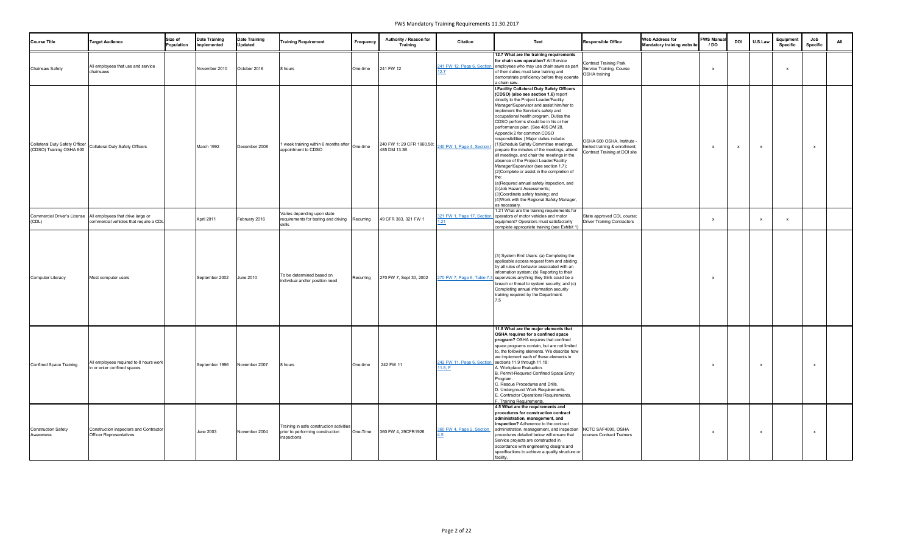| <b>Course Title</b>                                               | <b>Target Audience</b>                                                      | Size of<br><b>Population</b> | <b>Date Training</b><br>Implemented | <b>Date Training</b><br><b>Updated</b> | <b>Training Requirement</b>                                                                 | Frequency | Authority / Reason for<br><b>Training</b> | <b>Citation</b>                       | Text                                                                                                                                                                                                                                                                                                                                                                                                                                                                                                                                                                                                                                                                                                                                                                                                                                                                                | <b>Responsible Office</b>                                                                     | <b>Web Address for</b><br><b>Mandatory training website</b> | <b>FWS Manual</b><br>/ DO | <b>DOI</b> | U.S.Law                   | Equipment<br>Specific | Job<br><b>Specific</b>    | All |
|-------------------------------------------------------------------|-----------------------------------------------------------------------------|------------------------------|-------------------------------------|----------------------------------------|---------------------------------------------------------------------------------------------|-----------|-------------------------------------------|---------------------------------------|-------------------------------------------------------------------------------------------------------------------------------------------------------------------------------------------------------------------------------------------------------------------------------------------------------------------------------------------------------------------------------------------------------------------------------------------------------------------------------------------------------------------------------------------------------------------------------------------------------------------------------------------------------------------------------------------------------------------------------------------------------------------------------------------------------------------------------------------------------------------------------------|-----------------------------------------------------------------------------------------------|-------------------------------------------------------------|---------------------------|------------|---------------------------|-----------------------|---------------------------|-----|
| Chainsaw Safety                                                   | All employees that use and service<br>chainsaws                             |                              | November 2010                       | October 2016                           | 8 hours                                                                                     | One-time  | 241 FW 12                                 | 241 FW 12, Page 6, Section<br>2.7     | 12.7 What are the training requirements<br>for chain saw operation? All Service<br>employees who may use chain saws as part<br>of their duties must take training and<br>demonstrate proficiency before they operate<br>a chain saw.                                                                                                                                                                                                                                                                                                                                                                                                                                                                                                                                                                                                                                                | <b>Contract Training Park</b><br>Service Training, Course<br><b>OSHA</b> training             |                                                             |                           |            |                           |                       |                           |     |
| <b>Collateral Duty Safety Officer</b><br>(CDSO) Training OSHA 600 | <b>Collateral Duty Safety Officers</b>                                      |                              | March 1992                          | December 2008                          | 1 week training within 6 months after<br>appointment to CDSO                                | One-time  | 240 FW 1; 29 CFR 1960.58;<br>485 DM 13.3E | 240 FW 1, Page 4, Section I           | <b>I.Facility Collateral Duty Safety Officers</b><br>(CDSO) (also see section 1.6) report<br>directly to the Project Leader/Facility<br>Manager/Supervisor and assist him/her to<br>implement the Service's safety and<br>occupational health program. Duties the<br>CDSO performs should be in his or her<br>performance plan. (See 485 DM 28,<br>Appendix 2 for common CDSO<br>responsibilities.) Major duties include:<br>(1)Schedule Safety Committee meetings,<br>prepare the minutes of the meetings, attend<br>all meetings, and chair the meetings in the<br>absence of the Project Leader/Facility<br>Manager/Supervisor (see section 1.7);<br>(2) Complete or assist in the completion of<br>(a)Required annual safety inspection, and<br>(b) Job Hazard Assessments;<br>(3) Coordinate safety training; and<br>(4) Work with the Regional Safety Manager,<br>as necessar | OSHA 600 OSHA, Institute -<br>limited training & enrollment;<br>Contract Training at DOI site |                                                             |                           |            | $\mathsf{x}$              |                       | $\boldsymbol{\mathsf{x}}$ |     |
| Commercial Driver's License<br>(CDL)                              | All employees that drive large or<br>commercial vehicles that require a CDL |                              | April 2011                          | February 2016                          | Varies depending upon state<br>requirements for testing and driving Recurring<br>skills     |           | 49 CFR 383, 321 FW 1                      | 321 FW 1, Page 17, Section            | 1.21 What are the training requirements for<br>operators of motor vehicles and motor<br>equipment? Operators must satisfactorily<br>complete appropriate training (see Exhibit 1)                                                                                                                                                                                                                                                                                                                                                                                                                                                                                                                                                                                                                                                                                                   | State approved CDL course;<br><b>Driver Training Contractors</b>                              |                                                             |                           |            | $\boldsymbol{\mathsf{x}}$ |                       |                           |     |
| Computer Literacy                                                 | Most computer users                                                         |                              | September 2002                      | <b>June 2010</b>                       | To be determined based on<br>individual and/or position need                                | Recurring | 270 FW 7, Sept 30, 2002                   |                                       | (3) System End Users: (a) Completing the<br>applicable access request form and abiding<br>by all rules of behavior associated with an<br>information system; (b) Reporting to their<br>270 FW 7, Page 6, Table 7.3 supervisors anything they think could be a<br>breach or threat to system security; and (c)<br>Completing annual information security<br>training required by the Department.                                                                                                                                                                                                                                                                                                                                                                                                                                                                                     |                                                                                               |                                                             |                           |            |                           |                       |                           |     |
| <b>Confined Space Training</b>                                    | All employees required to 8 hours work<br>in or enter confined spaces       |                              | September 1996                      | November 2007                          | 8 hours                                                                                     | One-time  | 242 FW 11                                 | 242 FW 11, Page 6, Section<br>11.8, F | 11.8 What are the major elements that<br>OSHA requires for a confined space<br>program? OSHA requires that confined<br>space programs contain, but are not limited<br>to, the following elements. We describe how<br>we implement each of these elements in<br>sections 11.9 through 11.18.<br>A. Workplace Evaluation.<br>B. Permit-Required Confined Space Entry<br>rogram.<br>C. Rescue Procedures and Drills.<br>. Underground Work Requirements.<br>. Contractor Operations Requirements.<br>. Training Requirements.                                                                                                                                                                                                                                                                                                                                                          |                                                                                               |                                                             |                           |            |                           |                       | $\boldsymbol{\mathsf{x}}$ |     |
| <b>Construction Safety</b><br>Awareness                           | Construction inspectors and Contractor<br><b>Officer Representatives</b>    |                              | <b>June 2003</b>                    | November 2004                          | Training in safe construction activities<br>prior to performing construction<br>inspections | One-Time  | 360 FW 4, 29CFR1926                       | 360 FW 4, Page 2, Section             | 4.5 What are the requirements and<br>procedures for construction contract<br>administration, management, and<br>inspection? Adherence to the contract<br>administration, management, and inspection<br>procedures detailed below will ensure that<br>Service projects are constructed in<br>accordance with engineering designs and<br>specifications to achieve a quality structure or<br>facility.                                                                                                                                                                                                                                                                                                                                                                                                                                                                                | NCTC SAF4000, OSHA<br>courses Contract Trainers                                               |                                                             |                           |            | X                         |                       | $\boldsymbol{\mathsf{x}}$ |     |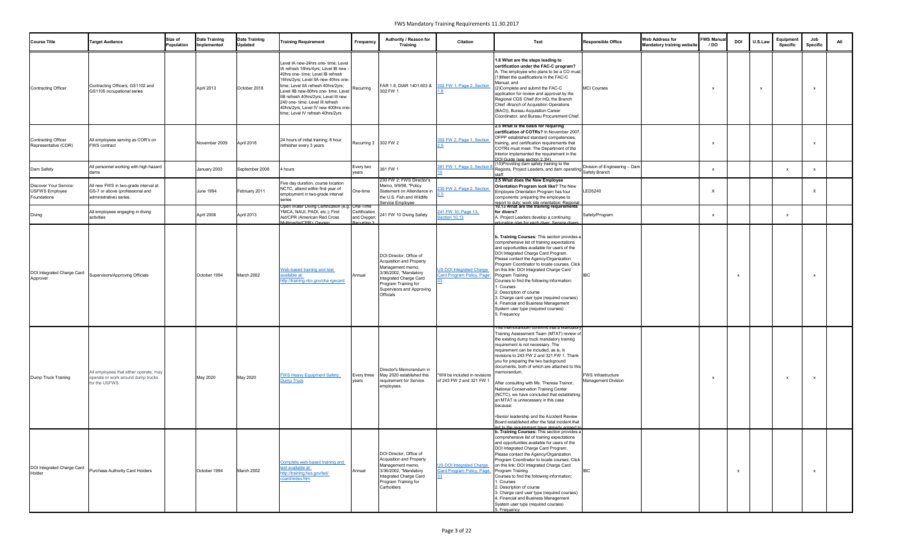| <b>Course Title</b>                                            | <b>Target Audience</b>                                                                             | Size of<br>Population | <b>Date Training</b><br>Implemented | <b>Date Training</b><br><b>Updated</b> | <b>Training Requirement</b>                                                                                                                                                                                                                                                                                                                                                                      | Frequency                                   | Authority / Reason for<br>Training                                                                                                                                                                         | <b>Citation</b>                                                       | Text                                                                                                                                                                                                                                                                                                                                                                                                                                                                                                                                                                                                                                                             | <b>Responsible Office</b>                        | <b>Web Address for</b><br><b>Mandatory training website</b> | <b>FWS Manual</b><br>/ DO | <b>DOI</b>   | U.S.Law      | Equipment<br><b>Specific</b> | Job<br>Specific |  |
|----------------------------------------------------------------|----------------------------------------------------------------------------------------------------|-----------------------|-------------------------------------|----------------------------------------|--------------------------------------------------------------------------------------------------------------------------------------------------------------------------------------------------------------------------------------------------------------------------------------------------------------------------------------------------------------------------------------------------|---------------------------------------------|------------------------------------------------------------------------------------------------------------------------------------------------------------------------------------------------------------|-----------------------------------------------------------------------|------------------------------------------------------------------------------------------------------------------------------------------------------------------------------------------------------------------------------------------------------------------------------------------------------------------------------------------------------------------------------------------------------------------------------------------------------------------------------------------------------------------------------------------------------------------------------------------------------------------------------------------------------------------|--------------------------------------------------|-------------------------------------------------------------|---------------------------|--------------|--------------|------------------------------|-----------------|--|
| <b>Contracting Officer</b>                                     | Contracting Officers; GS1102 and<br>GS1105 occupational series                                     |                       | April 2013                          | October 2018                           | Level IA new-24hrs one- time: Level<br>IA refresh 16hrs/4yrs; Level IB new<br>40hrs one- time; Level IB refresh<br>16hrs/2yrs; Level IIA new 40hrs one-<br>time; Level IIA refresh 40hrs/2yrs;<br>Level IIB new-80hrs one- time; Level<br>IIB refresh 40hrs/2yrs; Level III new<br>240 one- time; Level III refresh<br>40hrs/2yrs; Level IV new 400hrs one-<br>time; Level IV refresh 40hrs/2yrs | Recurring                                   | FAR 1.6, DIAR 1401.603 &<br>302 FW 1                                                                                                                                                                       | 302 FW 1, Page 2, Section                                             | 1.8 What are the steps leading to<br>certification under the FAC-C program?<br>A. The employee who plans to be a CO must:<br>1) Meet the qualifications in the FAC-C<br>Manual, and<br>2)Complete and submit the FAC-C<br>application for review and approval by the<br>Regional CGS Chief (for HQ, the Branch<br>Chief -Branch of Acquisition Operations<br>(BAO)), Bureau Acquisition Career<br>Coordinator, and Bureau Procurement Chief                                                                                                                                                                                                                      | <b>MCI Courses</b>                               |                                                             |                           |              | $\mathsf{x}$ |                              | $\mathbf{x}$    |  |
| <b>Contracting Officer</b><br>Representative (COR)             | All employees serving as COR's on<br><b>FWS</b> contract                                           |                       | November 2009                       | April 2018                             | 24 hours of initial training; 8 hour<br>refresher every 3 years                                                                                                                                                                                                                                                                                                                                  | Recurring 3 302 FW 2                        |                                                                                                                                                                                                            | 302 FW 2. Page 1. Section                                             | 2.5 What is the basis for requiring<br>certification of COTRs? In November 2007<br><b>OFPP</b> established standard competencies,<br>training, and certification requirements that<br>COTRs must meet. The Department of the<br>Interior implemented the requirement in the<br>DOI Guide (see section 2.3H).                                                                                                                                                                                                                                                                                                                                                     |                                                  |                                                             |                           |              |              |                              |                 |  |
| Dam Safety                                                     | All personnel working with high hazard<br>dams                                                     |                       | January 2003                        | September 2008                         | 4 hours                                                                                                                                                                                                                                                                                                                                                                                          | Every two<br>years                          | 361 FW 1                                                                                                                                                                                                   | 361 FW 1, Page 3, Section I                                           | 10) Providing dam safety training to the<br>Regions, Project Leaders, and dam operating<br><b>staff</b>                                                                                                                                                                                                                                                                                                                                                                                                                                                                                                                                                          | Division of Engineering - Dam<br>Safety Branch   |                                                             | $\mathbf{x}$              |              |              |                              | $\mathbf x$     |  |
| Discover Your Service:<br><b>USFWS Employee</b><br>Foundations | All new FWS in two-grade interval at<br>GS-7 or above (professional and<br>administrative) series. |                       | <b>June 1994</b>                    | February 2011                          | Five day duration, course location<br>NCTC, attend within first year of<br>employment in two-grade interval<br>series                                                                                                                                                                                                                                                                            | One-time                                    | 230 FW 2; FWS Director's<br>Memo, 9/9/98, "Policy<br>Statement on Attendance in<br>the U.S. Fish and Wildlife<br>Service Employee                                                                          | 30 FW 2, Page 2, Section                                              | 2.5 What does the New Employee<br>Orientation Program look like? The New<br>Employee Orientation Program has four<br>components: preparing the employee to                                                                                                                                                                                                                                                                                                                                                                                                                                                                                                       | ED5240                                           |                                                             | $\mathsf{x}$              |              |              |                              | $\mathbf{x}$    |  |
| Diving                                                         | All employees engaging in diving<br>activities                                                     |                       | April 2006                          | April 2013                             | Jpen Water Diving Certification (e.g.   One-Time<br>YMCA, NAUI, PADI, etc.); First<br>Aid/CPR (American Red Cross<br>Multimedia/CPR): Oxygen                                                                                                                                                                                                                                                     | Certification<br>and Oxygen;<br>Recurring 3 | 241 FW 10 Diving Safety                                                                                                                                                                                    | 241 FW 10, Page 13,<br>Section 10.13                                  | report to duty; work site orientation; Regional<br>10.13 What are the training requirements<br>for divers?<br>A. Project Leaders develop a continuing<br>ducation plan for each diver. Service divers                                                                                                                                                                                                                                                                                                                                                                                                                                                            | Safety/Program                                   |                                                             |                           |              |              |                              |                 |  |
| Approver                                                       | DOI Integrated Charge Card Supervisors/Approving Officials                                         |                       | October 1994                        | March 2002                             | Web-based training and test<br><u>valiable at:</u><br><u>ttp://training.nbc.gov/cha rgecard</u>                                                                                                                                                                                                                                                                                                  | <b>IAnnual</b>                              | DOI Director, Office of<br><b>Acquisition and Property</b><br>Management memo,<br>3/36/2002, "Mandatory<br>Integrated Charge Card<br>Program Training for<br>Supervisors and Approving<br><b>Officials</b> | US DOI Integrated Charge<br>ard Program Policy, Page Program Training | b. Training Courses: This section provides a<br>comprehensive list of training expectations<br>and opportunities available for users of the<br>DOI Integrated Charge Card Program.<br>Please contact the Agency/Organization<br>Program Coordinator to locate courses. Click<br>on this link: DOI Integrated Charge Card<br>Courses to find the following information:<br>I. Courses<br>2. Description of course<br>3. Charge card user type (required courses)<br>4. Financial and Business Management<br>System user type (required courses)<br>5. Frequency                                                                                                   | טשון                                             |                                                             |                           |              |              |                              |                 |  |
| Dump Truck Training                                            | All employees that either operate, may<br>operate or work around dump trucks<br>for the USFWS.     |                       | May 2020                            | May 2020                               | <b>WS Heavy Equipment Safety:</b><br>Dump Truck                                                                                                                                                                                                                                                                                                                                                  | Every three<br>vears                        | Director's Memorandum in<br>May 2020 established this<br>requirement for Service<br>employees.                                                                                                             | *Will be included in revisions<br>of 243 FW 2 and 321 FW 1            | his memorandum confirms that a Mandatory<br>Training Assessment Team (MTAT) review o<br>the existing dump truck mandatory training<br>requirement is not necessary. The<br>requirement can be included, as is, in<br>revisions to 243 FW 2 and 321 FW 1. Thank<br>you for preparing the two background<br>documents, both of which are attached to this<br>memorandum.<br>After consulting with Ms. Theresa Trainor,<br>National Conservation Training Center<br>(NCTC), we have concluded that establishing<br>an MTAT is unnecessary in this case<br>because:<br>•Senior leadership and the Accident Review<br>Board established after the fatal incident that | FWS Infrastructure<br><b>Management Division</b> |                                                             |                           |              |              |                              |                 |  |
| DOI Integrated Charge Card<br>Holder                           | Purchase Authority Card Holders                                                                    |                       | October 1994                        | March 2002                             | Complete web-based training and<br>est available at:<br>http://training.fws.gov/led/<br>ccard/index.htm                                                                                                                                                                                                                                                                                          | Annual                                      | DOI Director, Office of<br>Acquisition and Property<br>Management memo,<br>3/36/2002, "Mandatory<br>Integrated Charge Card<br>Program Training for<br>Carholders                                           | <b>US DOI Integrated Charge</b><br>Card Program Policy, Page          | ed to the requirement have already agreed to<br>b. Training Courses: This section provides a<br>comprehensive list of training expectations<br>and opportunities available for users of the<br>DOI Integrated Charge Card Program.<br>Please contact the Agency/Organization<br>Program Coordinator to locate courses. Click<br>on this link: DOI Integrated Charge Card<br>Program Training<br>Courses to find the following information:<br>. Courses<br>2. Description of course<br>3. Charge card user type (required courses)<br>4. Financial and Business Management<br>System user type (required courses)<br>5. Frequency                                | <b>IBC</b>                                       |                                                             |                           | $\mathsf{x}$ |              |                              |                 |  |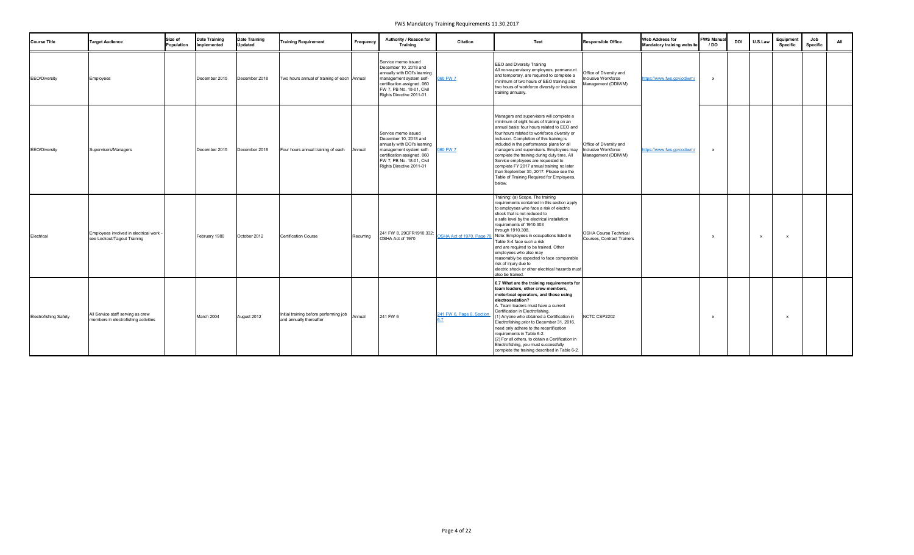| <b>Course Title</b>          | <b>Target Audience</b>                                                    | Size of<br>Population | <b>Date Training</b><br>Implemented | <b>Date Training</b><br><b>Updated</b> | <b>Training Requirement</b>                                       | Frequency | Authority / Reason for<br><b>Training</b>                                                                                                                                                       | Citation                  | <b>Text</b>                                                                                                                                                                                                                                                                                                                                                                                                                                                                                                                                                                       | <b>Responsible Office</b>                                            | <b>Web Address for</b><br><b>Mandatory training website</b> | <b>FWS Manual</b><br>/ DO | <b>DOI</b> | U.S.Law      | Equipment<br><b>Specific</b> | Job<br>Specific | All |
|------------------------------|---------------------------------------------------------------------------|-----------------------|-------------------------------------|----------------------------------------|-------------------------------------------------------------------|-----------|-------------------------------------------------------------------------------------------------------------------------------------------------------------------------------------------------|---------------------------|-----------------------------------------------------------------------------------------------------------------------------------------------------------------------------------------------------------------------------------------------------------------------------------------------------------------------------------------------------------------------------------------------------------------------------------------------------------------------------------------------------------------------------------------------------------------------------------|----------------------------------------------------------------------|-------------------------------------------------------------|---------------------------|------------|--------------|------------------------------|-----------------|-----|
| <b>EEO/Diversity</b>         | Employees                                                                 |                       | December 2015                       | December 2018                          | Two hours annual of training of each Annual                       |           | Service memo issued<br>December 10, 2018 and<br>annually with DOI's learning<br>management system self-<br>certification assigned. 060<br>FW 7, PB No. 18-01, Civil<br>Rights Directive 2011-01 | 60 FW 7                   | <b>EEO</b> and Diversity Training<br>All non-supervisory employees, permane.nt<br>and temporary, are required to complete a<br>minimum of two hours of EEO training and<br>two hours of workforce diversity or inclusion<br>training annually.                                                                                                                                                                                                                                                                                                                                    | Office of Diversity and<br>Inclusive Workforce<br>Management (ODIWM) | https://www.fws.gov/odiwm/                                  |                           |            |              |                              |                 |     |
| EEO/Diversity                | Supervisors/Managers                                                      |                       | December 2015                       | December 2018                          | Four hours annual training of each                                | Annual    | Service memo issued<br>December 10, 2018 and<br>annually with DOI's learning<br>management system self-<br>certification assigned. 060<br>FW 7, PB No. 18-01, Civil<br>Rights Directive 2011-01 | 60 FW 7                   | Managers and supervisors will complete a<br>minimum of eight hours of training on an<br>annual basis: four hours related to EEO and<br>four hours related to workforce diversity or<br>inclusion. Completion of this training is<br>included in the performance plans for all<br>managers and supervisors. Employees may<br>complete the training during duty time. All<br>Service employees are requested to<br>complete FY 2017 annual training no later<br>than September 30, 2017. Please see the<br>Table of Training Required for Employees,<br>below.                      | Office of Diversity and<br>Inclusive Workforce<br>Management (ODIWM) | nttps://www.fws.gov/odiwm                                   |                           |            |              |                              |                 |     |
| Electrical                   | Employees involved in electrical work -<br>see Lockout/Tagout Training    |                       | February 1980                       | October 2012                           | <b>Certification Course</b>                                       | Recurring | 241 FW 8, 29CFR1910.332;<br>OSHA Act of 1970                                                                                                                                                    |                           | Training: (a) Scope. The training<br>requirements contained in this section apply<br>to employees who face a risk of electric<br>shock that is not reduced to<br>a safe level by the electrical installation<br>requirements of 1910.303<br>through 1910.308.<br>OSHA Act of 1970, Page 79 Note: Employees in occupations listed in<br>Table S-4 face such a risk<br>and are required to be trained. Other<br>employees who also may<br>reasonably be expected to face comparable<br>risk of injury due to<br>electric shock or other electrical hazards must<br>also be trained. | <b>OSHA Course Technical</b><br>Courses, Contract Trainers           |                                                             |                           |            | $\mathbf{x}$ | x                            |                 |     |
| <b>Electrofishing Safety</b> | All Service staff serving as crew<br>members in electrofishing activities |                       | March 2004                          | August 2012                            | Initial training before performing job<br>and annually thereafter | Annual    | 241 FW 6                                                                                                                                                                                        | 241 FW 6, Page 6, Section | 6.7 What are the training requirements for<br>team leaders, other crew members,<br>motorboat operators, and those using<br>electrosedation?<br>A. Team leaders must have a current<br>Certification in Electrofishing.<br>(1) Anyone who obtained a Certification in<br>Electrofishing prior to December 31, 2016,<br>need only adhere to the recertification<br>requirements in Table 6-2.<br>(2) For all others, to obtain a Certification in<br>Electrofishing, you must successfully<br>complete the training described in Table 6-2.                                         | NCTC CSP2202                                                         |                                                             |                           |            |              | $\mathbf{x}$                 |                 |     |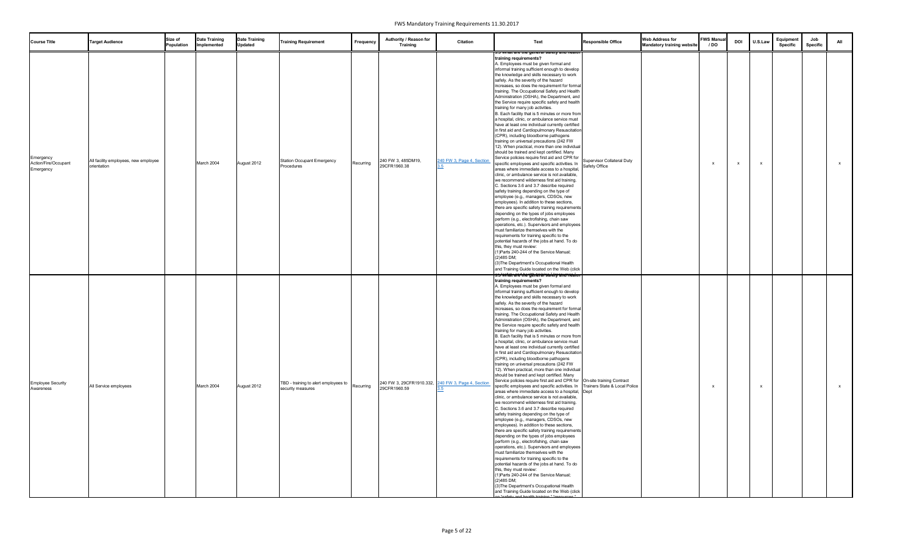| <b>Course Title</b>                            | <b>Target Audience</b>                              | Size of<br>Population | <b>Date Training</b><br>Implemented | <b>Date Training</b><br><b>Updated</b> | <b>Training Requirement</b>                               | Frequency | Authority / Reason for<br><b>Training</b>                          | Citation                  | Text                                                                                                                                                                                                                                                                                                                                                                                                                                                                                                                                                                                                                                                                                                                                                                                                                                                                                                                                                                                                                                                                                                                                                                                                                                                                                                                                                                                                                                                                                                                                                                                                                                                                                                                                                                                                                                                                                                                                                                              | <b>Responsible Office</b>                   | <b>Web Address for</b><br><b>Mandatory training website</b> | <b>FWS Manual</b><br>/ DO | <b>DOI</b> | U.S.Law | Equipment<br><b>Specific</b> | Job<br><b>Specific</b> | All          |
|------------------------------------------------|-----------------------------------------------------|-----------------------|-------------------------------------|----------------------------------------|-----------------------------------------------------------|-----------|--------------------------------------------------------------------|---------------------------|-----------------------------------------------------------------------------------------------------------------------------------------------------------------------------------------------------------------------------------------------------------------------------------------------------------------------------------------------------------------------------------------------------------------------------------------------------------------------------------------------------------------------------------------------------------------------------------------------------------------------------------------------------------------------------------------------------------------------------------------------------------------------------------------------------------------------------------------------------------------------------------------------------------------------------------------------------------------------------------------------------------------------------------------------------------------------------------------------------------------------------------------------------------------------------------------------------------------------------------------------------------------------------------------------------------------------------------------------------------------------------------------------------------------------------------------------------------------------------------------------------------------------------------------------------------------------------------------------------------------------------------------------------------------------------------------------------------------------------------------------------------------------------------------------------------------------------------------------------------------------------------------------------------------------------------------------------------------------------------|---------------------------------------------|-------------------------------------------------------------|---------------------------|------------|---------|------------------------------|------------------------|--------------|
| Emergency<br>Action/Fire/Occupant<br>Emergency | All facility employees, new employee<br>orientation |                       | March 2004                          | August 2012                            | <b>Station Occupant Emergency</b><br>Procedures           | Recurring | 240 FW 3, 485DM19,<br>29CFR1960.38                                 | 240 FW 3, Page 4, Section | 3.5 What are the general salety and health<br>training requirements?<br>A. Employees must be given formal and<br>informal training sufficient enough to develop<br>the knowledge and skills necessary to work<br>safely. As the severity of the hazard<br>increases, so does the requirement for formal<br>training. The Occupational Safety and Health<br>Administration (OSHA), the Department, and<br>the Service require specific safety and health<br>training for many job activities.<br>B. Each facility that is 5 minutes or more from<br>a hospital, clinic, or ambulance service must<br>have at least one individual currently certified<br>in first aid and Cardiopulmonary Resuscitation<br>(CPR), including bloodborne pathogens<br>training on universal precautions (242 FW<br>12). When practical, more than one individual<br>should be trained and kept certified. Many<br>Service policies require first aid and CPR for<br>specific employees and specific activities. In<br>areas where immediate access to a hospital,<br>clinic, or ambulance service is not available,<br>we recommend wilderness first aid training.<br>C. Sections 3.6 and 3.7 describe required<br>safety training depending on the type of<br>employee (e.g., managers, CDSOs, new<br>employees). In addition to these sections,<br>there are specific safety training requirements<br>depending on the types of jobs employees<br>perform (e.g., electrofishing, chain saw<br>operations, etc.). Supervisors and employees<br>must familiarize themselves with the<br>requirements for training specific to the<br>potential hazards of the jobs at hand. To do<br>this, they must review:<br>(1) Parts 240-244 of the Service Manual;<br>(2)485 DM;<br>(3) The Department's Occupational Health<br>and Training Guide located on the Web (click                                                                                                                                   | Supervisor Collateral Duty<br>Safety Office |                                                             |                           | x          | x       |                              |                        | $\mathsf{X}$ |
| <b>Employee Security</b><br>Awareness          | All Service employees                               |                       | March 2004                          | August 2012                            | TBD - training to alert employees to<br>security measures | Recurring | 240 FW 3, 29CFR1910.332, 240 FW 3, Page 4, Section<br>29CFR1960.59 |                           | <del>s:s"vvfratrared her yenter ari sa i ety anumeai un</del><br>training requirements?<br>A. Employees must be given formal and<br>informal training sufficient enough to develop<br>the knowledge and skills necessary to work<br>safely. As the severity of the hazard<br>increases, so does the requirement for formal<br>training. The Occupational Safety and Health<br>Administration (OSHA), the Department, and<br>the Service require specific safety and health<br>training for many job activities.<br>B. Each facility that is 5 minutes or more from<br>a hospital, clinic, or ambulance service must<br>have at least one individual currently certified<br>in first aid and Cardiopulmonary Resuscitation<br>(CPR), including bloodborne pathogens<br>training on universal precautions (242 FW<br>12). When practical, more than one individual<br>should be trained and kept certified. Many<br>Service policies require first aid and CPR for On-site training Contract<br>specific employees and specific activities. In   Trainers State & Local Police<br>areas where immediate access to a hospital, Dept<br>clinic, or ambulance service is not available,<br>we recommend wilderness first aid training.<br>C. Sections 3.6 and 3.7 describe required<br>safety training depending on the type of<br>employee (e.g., managers, CDSOs, new<br>employees). In addition to these sections,<br>there are specific safety training requirements<br>depending on the types of jobs employees<br>perform (e.g., electrofishing, chain saw<br>operations, etc.). Supervisors and employees<br>must familiarize themselves with the<br>requirements for training specific to the<br>potential hazards of the jobs at hand. To do<br>this, they must review:<br>(1) Parts 240-244 of the Service Manual;<br>(2)485 DM;<br>(3) The Department's Occupational Health<br>and Training Guide located on the Web (click<br>" $\sim$ " "notaty and boolth training" "rec |                                             |                                                             |                           |            | x       |                              |                        | $\mathsf{X}$ |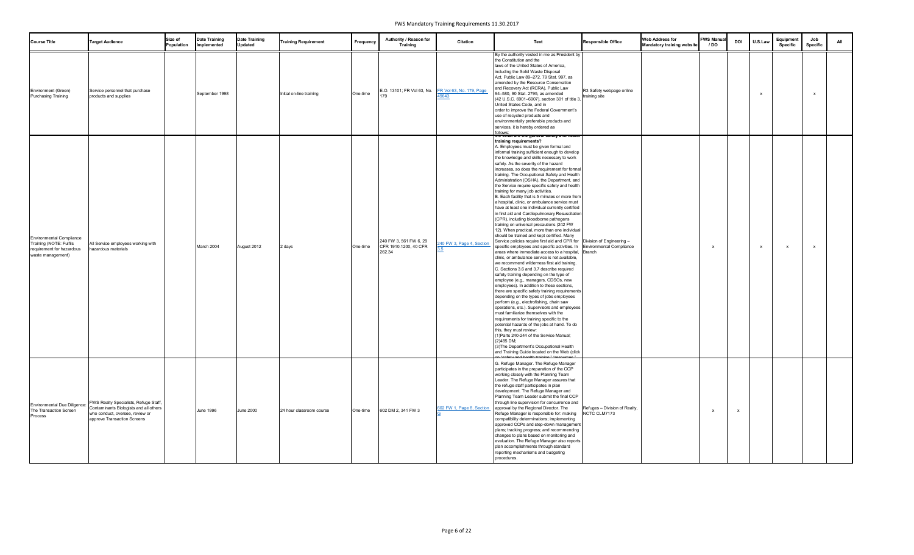| <b>Course Title</b>                                                                                          | <b>Target Audience</b>                                                                                                                            | Size of<br>Population | <b>Date Training</b><br>Implemented | <b>Date Training</b><br><b>Updated</b> | <b>Training Requirement</b> | Frequency | Authority / Reason for<br><b>Training</b>                 | <b>Citation</b>           | Text                                                                                                                                                                                                                                                                                                                                                                                                                                                                                                                                                                                                                                                                                                                                                                                                                                                                                                                                                                                                                                                                                                                                                                                                                                                                                                                                                                                                                                                                                                                                                                                                                                                                                                                                                                                                                                                                                                                                        | <b>Responsible Office</b>                     | <b>Web Address for</b><br><b>Mandatory training website</b> | <b>FWS Manual</b><br>/ DO | <b>DOI</b>   | U.S.Lay      | Equipment<br><b>Specific</b> | Job<br>Specific           | All |
|--------------------------------------------------------------------------------------------------------------|---------------------------------------------------------------------------------------------------------------------------------------------------|-----------------------|-------------------------------------|----------------------------------------|-----------------------------|-----------|-----------------------------------------------------------|---------------------------|---------------------------------------------------------------------------------------------------------------------------------------------------------------------------------------------------------------------------------------------------------------------------------------------------------------------------------------------------------------------------------------------------------------------------------------------------------------------------------------------------------------------------------------------------------------------------------------------------------------------------------------------------------------------------------------------------------------------------------------------------------------------------------------------------------------------------------------------------------------------------------------------------------------------------------------------------------------------------------------------------------------------------------------------------------------------------------------------------------------------------------------------------------------------------------------------------------------------------------------------------------------------------------------------------------------------------------------------------------------------------------------------------------------------------------------------------------------------------------------------------------------------------------------------------------------------------------------------------------------------------------------------------------------------------------------------------------------------------------------------------------------------------------------------------------------------------------------------------------------------------------------------------------------------------------------------|-----------------------------------------------|-------------------------------------------------------------|---------------------------|--------------|--------------|------------------------------|---------------------------|-----|
| Environment (Green)<br><b>Purchasing Training</b>                                                            | Service personnel that purchase<br>products and supplies                                                                                          |                       | September 1998                      |                                        | Initial on-line training    | One-time  | E.O. 13101; FR Vol 63, No. FR Vol 63, No. 179, Page       | 9643                      | By the authority vested in me as President by<br>the Constitution and the<br>laws of the United States of America,<br>including the Solid Waste Disposal<br>Act, Public Law 89-272, 79 Stat. 997, as<br>amended by the Resource Conservation<br>and Recovery Act (RCRA), Public Law<br>94-580, 90 Stat. 2795, as amended<br>(42 U.S.C. 6901-6907), section 301 of title 3<br>United States Code, and in<br>order to improve the Federal Government's<br>use of recycled products and<br>environmentally preferable products and<br>services, it is hereby ordered as<br>follows:                                                                                                                                                                                                                                                                                                                                                                                                                                                                                                                                                                                                                                                                                                                                                                                                                                                                                                                                                                                                                                                                                                                                                                                                                                                                                                                                                            | R3 Safety webpage online<br>training site     |                                                             |                           |              |              |                              | $\mathbf{x}$              |     |
| <b>Environmental Compliance</b><br>Training (NOTE: Fulfils<br>requirement for hazardous<br>waste management) | All Service employees working with<br>hazardous materials                                                                                         |                       | March 2004                          | August 2012                            | 2 days                      | One-time  | 240 FW 3, 561 FW 6, 29<br>CFR 1910.1200, 40 CFR<br>262.34 | 240 FW 3, Page 4, Section | <del>ollower</del><br><del>5.5 Wriat are the general salety and health</del><br>training requirements?<br>A. Employees must be given formal and<br>informal training sufficient enough to develop<br>the knowledge and skills necessary to work<br>safely. As the severity of the hazard<br>increases, so does the requirement for formal<br>training. The Occupational Safety and Health<br>Administration (OSHA), the Department, and<br>the Service require specific safety and health<br>training for many job activities.<br>B. Each facility that is 5 minutes or more from<br>a hospital, clinic, or ambulance service must<br>have at least one individual currently certified<br>in first aid and Cardiopulmonary Resuscitation<br>(CPR), including bloodborne pathogens<br>training on universal precautions (242 FW<br>12). When practical, more than one individual<br>should be trained and kept certified. Many<br>Service policies require first aid and CPR for Division of Engineering -<br>specific employees and specific activities. In Environmental Compliance<br>areas where immediate access to a hospital, Branch<br>clinic, or ambulance service is not available,<br>we recommend wilderness first aid training.<br>C. Sections 3.6 and 3.7 describe required<br>safety training depending on the type of<br>employee (e.g., managers, CDSOs, new<br>employees). In addition to these sections,<br>there are specific safety training requirements<br>depending on the types of jobs employees<br>perform (e.g., electrofishing, chain saw<br>operations, etc.). Supervisors and employees<br>must familiarize themselves with the<br>requirements for training specific to the<br>potential hazards of the jobs at hand. To do<br>this, they must review:<br>(1) Parts 240-244 of the Service Manual;<br>(2)485 DM;<br>(3) The Department's Occupational Health<br>and Training Guide located on the Web (click |                                               |                                                             | x                         |              | $\mathbf{x}$ | $\boldsymbol{\mathsf{x}}$    | $\boldsymbol{\mathsf{x}}$ |     |
| <b>Environmental Due Diligence:</b><br>The Transaction Screen<br>Process                                     | FWS Realty Specialists, Refuge Staff,<br>Contaminants Biologists and all others<br>who conduct, oversee, review or<br>approve Transaction Screens |                       | <b>June 1996</b>                    | <b>June 2000</b>                       | 24 hour classroom course    | One-time  | 602 DM 2, 341 FW 3                                        | 602 FW 1, Page 8, Section | G. Refuge Manager. The Refuge Manager<br>participates in the preparation of the CCP<br>working closely with the Planning Team<br>Leader. The Refuge Manager assures that<br>the refuge staff participates in plan<br>development. The Refuge Manager and<br>Planning Team Leader submit the final CCP<br>through line supervision for concurrence and<br>approval by the Regional Director. The<br>Refuge Manager is responsible for: making<br>compatibility determinations; implementing<br>approved CCPs and step-down management<br>plans; tracking progress; and recommending<br>changes to plans based on monitoring and<br>evaluation. The Refuge Manager also reports<br>plan accomplishments through standard<br>reporting mechanisms and budgeting<br>procedures.                                                                                                                                                                                                                                                                                                                                                                                                                                                                                                                                                                                                                                                                                                                                                                                                                                                                                                                                                                                                                                                                                                                                                                 | Refuges - Division of Realty,<br>NCTC CLM7173 |                                                             | x                         | $\mathbf{x}$ |              |                              |                           |     |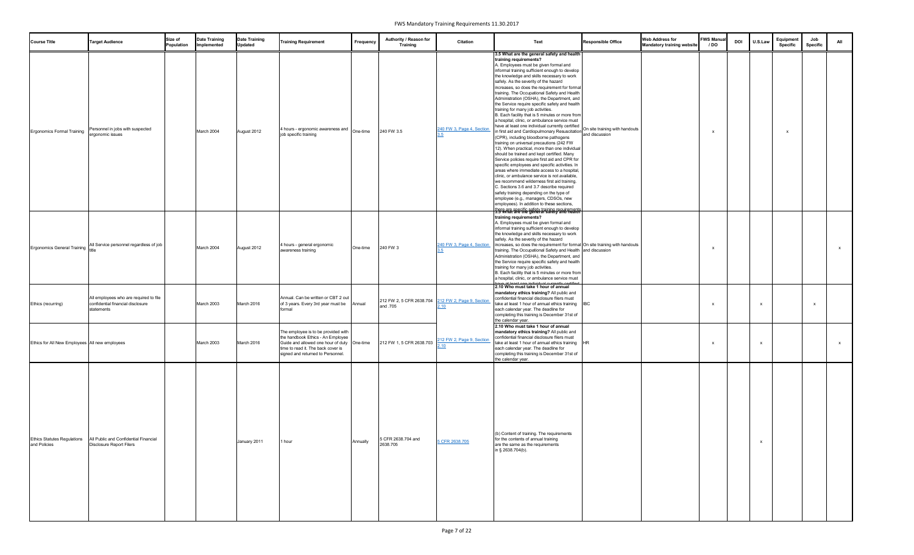| <b>Course Title</b>                                | <b>Target Audience</b>                                                                    | Size of<br>Population | <b>Date Training</b><br>Implemented | <b>Date Training</b><br><b>Updated</b> | <b>Training Requirement</b>                                                                                                                                                                        | Frequency | Authority / Reason for<br><b>Training</b>                      | <b>Citation</b>           | Text                                                                                                                                                                                                                                                                                                                                                                                                                                                                                                                                                                                                                                                                                                                                                                                                                                                                                                                                                                                                                                                                                                                                                                                                                                                                                                                                                                                                                                    | <b>Responsible Office</b> | <b>Web Address for</b><br><b>Mandatory training website</b> | <b>FWS Manua</b><br>/ DO | <b>DOI</b> | U.S.Law      | Equipment<br><b>Specific</b> | Job<br>Specific | All          |
|----------------------------------------------------|-------------------------------------------------------------------------------------------|-----------------------|-------------------------------------|----------------------------------------|----------------------------------------------------------------------------------------------------------------------------------------------------------------------------------------------------|-----------|----------------------------------------------------------------|---------------------------|-----------------------------------------------------------------------------------------------------------------------------------------------------------------------------------------------------------------------------------------------------------------------------------------------------------------------------------------------------------------------------------------------------------------------------------------------------------------------------------------------------------------------------------------------------------------------------------------------------------------------------------------------------------------------------------------------------------------------------------------------------------------------------------------------------------------------------------------------------------------------------------------------------------------------------------------------------------------------------------------------------------------------------------------------------------------------------------------------------------------------------------------------------------------------------------------------------------------------------------------------------------------------------------------------------------------------------------------------------------------------------------------------------------------------------------------|---------------------------|-------------------------------------------------------------|--------------------------|------------|--------------|------------------------------|-----------------|--------------|
| <b>Ergonomics Formal Training</b>                  | Personnel in jobs with suspected<br>ergonomic issues                                      |                       | March 2004                          | August 2012                            | 4 hours - ergonomic awareness and<br>job specific training                                                                                                                                         | One-time  | 240 FW 3.5                                                     | 240 FW 3, Page 4, Section | 3.5 What are the general safety and health<br>training requirements?<br>A. Employees must be given formal and<br>informal training sufficient enough to develop<br>the knowledge and skills necessary to work<br>safely. As the severity of the hazard<br>increases, so does the requirement for formal<br>training. The Occupational Safety and Health<br>Administration (OSHA), the Department, and<br>the Service require specific safety and health<br>training for many job activities.<br>B. Each facility that is 5 minutes or more from<br>a hospital, clinic, or ambulance service must<br>have at least one individual currently certified<br>nave at least one individual currently certified<br>nation site training with handouts<br>In first aid and Cardiopulmonary Resuscitation and discussion<br>(CPR), including bloodborne pathogens<br>training on universal precautions (242 FW<br>12). When practical, more than one individual<br>should be trained and kept certified. Many<br>Service policies require first aid and CPR for<br>specific employees and specific activities. In<br>areas where immediate access to a hospital,<br>clinic, or ambulance service is not available,<br>we recommend wilderness first aid training.<br>C. Sections 3.6 and 3.7 describe required<br>safety training depending on the type of<br>employee (e.g., managers, CDSOs, new<br>employees). In addition to these sections, |                           |                                                             |                          |            |              |                              |                 |              |
| <b>Ergonomics General Training</b>                 | All Service personnel regardless of job                                                   |                       | March 2004                          | August 2012                            | 4 hours - general ergonomic<br>awareness training                                                                                                                                                  | One-time  | 240 FW 3                                                       | 240 FW 3, Page 4, Section | there are specific safety training requirements<br>training requirements?<br>A. Employees must be given formal and<br>informal training sufficient enough to develop<br>the knowledge and skills necessary to work<br>safely. As the severity of the hazard<br>increases, so does the requirement for formal On site training with handouts<br>training. The Occupational Safety and Health and discussion<br>Administration (OSHA), the Department, and<br>the Service require specific safety and health<br>training for many job activities.<br>B. Each facility that is 5 minutes or more from<br>a hospital, clinic, or ambulance service must                                                                                                                                                                                                                                                                                                                                                                                                                                                                                                                                                                                                                                                                                                                                                                                     |                           |                                                             |                          |            |              |                              |                 | $\mathbf{x}$ |
| Ethics (recurring)                                 | All employees who are required to file<br>confidential financial disclosure<br>statements |                       | March 2003                          | March 2016                             | Annual. Can be written or CBT 2 out<br>of 3 years. Every 3rd year must be Annual<br>formal                                                                                                         |           | 212 FW 2, 5 CFR 2638.704 212 FW 2, Page 9, Section<br>and .705 | <u>.10</u>                | 2.10 Who must take 1 hour of annual<br>mandatory ethics training? All public and<br>confidential financial disclosure filers must<br>take at least 1 hour of annual ethics training<br>each calendar year. The deadline for<br>completing this training is December 31st of<br>the calendar year.                                                                                                                                                                                                                                                                                                                                                                                                                                                                                                                                                                                                                                                                                                                                                                                                                                                                                                                                                                                                                                                                                                                                       | <b>IBC</b>                |                                                             |                          |            | X            |                              | x               |              |
| Ethics for All New Employees All new employees     |                                                                                           |                       | March 2003                          | March 2016                             | The employee is to be provided with<br>the handbook Ethics - An Employee<br>Guide and allowed one hour of duty One-time<br>time to read it. The back cover is<br>signed and returned to Personnel. |           | 212 FW 1, 5 CFR 2638.703                                       | 212 FW 2, Page 9, Section | 2.10 Who must take 1 hour of annual<br>mandatory ethics training? All public and<br>confidential financial disclosure filers must<br>take at least 1 hour of annual ethics training HR<br>each calendar year. The deadline for<br>completing this training is December 31st of<br>the calendar year.                                                                                                                                                                                                                                                                                                                                                                                                                                                                                                                                                                                                                                                                                                                                                                                                                                                                                                                                                                                                                                                                                                                                    |                           |                                                             |                          |            | X            |                              |                 | <b>X</b>     |
| <b>Ethics Statutes Regulations</b><br>and Policies | All Public and Confidential Financial<br>Disclosure Report Filers                         |                       |                                     | January 2011                           | 1 hour                                                                                                                                                                                             | Annually  | 5 CFR 2638.704 and<br>2638.705                                 | 5 CFR 2638.705            | (b) Content of training. The requirements<br>for the contents of annual training<br>are the same as the requirements<br>in § 2638.704(b).                                                                                                                                                                                                                                                                                                                                                                                                                                                                                                                                                                                                                                                                                                                                                                                                                                                                                                                                                                                                                                                                                                                                                                                                                                                                                               |                           |                                                             |                          |            | $\mathsf{x}$ |                              |                 |              |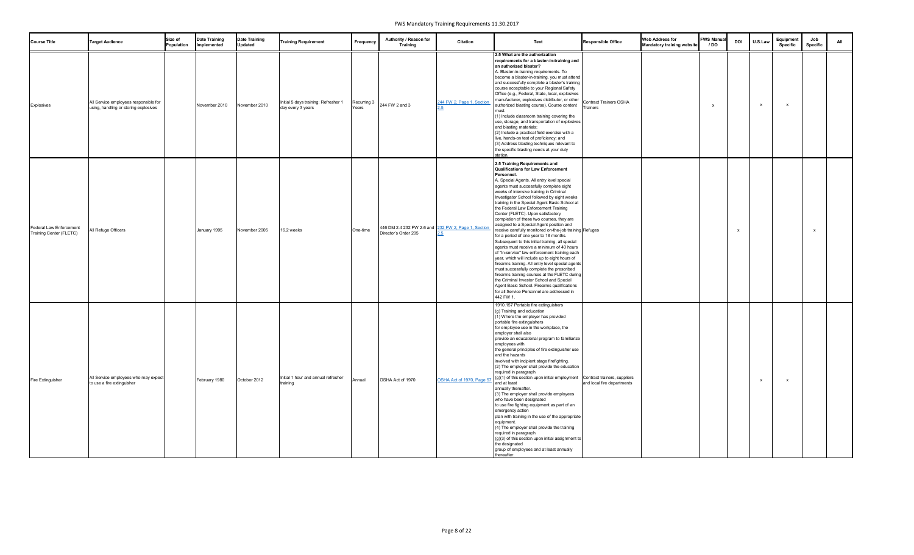| <b>Course Title</b>                                | <b>Target Audience</b>                                                         | Size of<br>Population | <b>Date Training</b><br>Implemented | Date Training<br><b>Updated</b> | <b>Training Requirement</b>                               | Frequency            | Authority / Reason for<br><b>Training</b>                                   | <b>Citation</b>           | <b>Text</b>                                                                                                                                                                                                                                                                                                                                                                                                                                                                                                                                                                                                                                                                                                                                                                                                                                                                                                                                                                                                                                                                                                         | <b>Responsible Office</b>          | <b>Web Address for</b><br><b>Mandatory training website</b> | <b>FWS Manua</b><br>/ DO | <b>DOI</b> | U.S.Law      | Equipment<br><b>Specific</b> | Job<br><b>Specific</b> | All |
|----------------------------------------------------|--------------------------------------------------------------------------------|-----------------------|-------------------------------------|---------------------------------|-----------------------------------------------------------|----------------------|-----------------------------------------------------------------------------|---------------------------|---------------------------------------------------------------------------------------------------------------------------------------------------------------------------------------------------------------------------------------------------------------------------------------------------------------------------------------------------------------------------------------------------------------------------------------------------------------------------------------------------------------------------------------------------------------------------------------------------------------------------------------------------------------------------------------------------------------------------------------------------------------------------------------------------------------------------------------------------------------------------------------------------------------------------------------------------------------------------------------------------------------------------------------------------------------------------------------------------------------------|------------------------------------|-------------------------------------------------------------|--------------------------|------------|--------------|------------------------------|------------------------|-----|
| Explosives                                         | All Service employees responsible for<br>using, handling or storing explosives |                       | November 2010                       | November 2010                   | Initial 5 days training; Refresher 1<br>day every 3 years | Recurring 3<br>Years | 244 FW 2 and 3                                                              | 244 FW 2, Page 1, Section | 2.5 What are the authorization<br>requirements for a blaster-in-training and<br>an authorized blaster?<br>A. Blaster-in-training requirements. To<br>become a blaster-in-training, you must attend<br>and successfully complete a blaster's training<br>course acceptable to your Regional Safety<br>Office (e.g., Federal, State, local, explosives<br>manufacturer, explosives distributor, or other<br>authorized blasting course). Course content<br>must:<br>1) Include classroom training covering the<br>use, storage, and transportation of explosives<br>and blasting materials;<br>(2) Include a practical field exercise with a<br>live, hands-on test of proficiency; and<br>(3) Address blasting techniques relevant to<br>the specific blasting needs at your duty<br>station.                                                                                                                                                                                                                                                                                                                        | Contract Trainers OSHA<br>Trainers |                                                             |                          |            | $\mathbf{x}$ |                              |                        |     |
| Federal Law Enforcement<br>Training Center (FLETC) | All Refuge Officers                                                            |                       | January 1995                        | November 2005                   | 16.2 weeks                                                | One-time             | 446 DM 2.4 232 FW 2.6 and 232 FW 2, Page 1, Section<br>Director's Order 205 |                           | 2.5 Training Requirements and<br><b>Qualifications for Law Enforcement</b><br>Personnel.<br>A. Special Agents. All entry level special<br>agents must successfully complete eight<br>weeks of intensive training in Criminal<br>Investigator School followed by eight weeks<br>training in the Special Agent Basic School at<br>the Federal Law Enforcement Training<br>Center (FLETC). Upon satisfactory<br>completion of these two courses, they are<br>assigned to a Special Agent position and<br>receive carefully monitored on-the-job training Refuges<br>for a period of one year to 18 months.<br>Subsequent to this initial training, all special<br>agents must receive a minimum of 40 hours<br>of "in-service" law enforcement training each<br>year, which will include up to eight hours of<br>firearms training. All entry level special agents<br>must successfully complete the prescribed<br>firearms training courses at the FLETC during<br>the Criminal Investor School and Special<br>Agent Basic School. Firearms qualifications<br>for all Service Personnel are addressed in<br>442 FW 1. |                                    |                                                             |                          |            |              |                              | $\mathsf{x}$           |     |
| <b>Fire Extinguisher</b>                           | All Service employees who may expect<br>to use a fire extinguisher             |                       | February 1980                       | October 2012                    | Initial 1 hour and annual refresher<br>training           | Annual               | OSHA Act of 1970                                                            | OSHA Act of 1970, Page 57 | 1910.157 Portable fire extinguishers<br>(g) Training and education<br>(1) Where the employer has provided<br>portable fire extinguishers<br>for employee use in the workplace, the<br>employer shall also<br>provide an educational program to familiarize<br>employees with<br>the general principles of fire extinguisher use<br>and the hazards<br>involved with incipient stage firefighting.<br>(2) The employer shall provide the education<br>required in paragraph<br>$(g)(1)$ of this section upon initial employment Contract trainers, suppliers<br>and at least<br>annually thereafter.<br>(3) The employer shall provide employees<br>who have been designated<br>to use fire fighting equipment as part of an<br>emergency action<br>plan with training in the use of the appropriate<br>equipment.<br>(4) The employer shall provide the training<br>required in paragraph<br>(g)(3) of this section upon initial assignment to<br>the designated<br>group of employees and at least annually<br>thereafter.                                                                                         | and local fire departments         |                                                             |                          |            | $\mathbf{x}$ |                              |                        |     |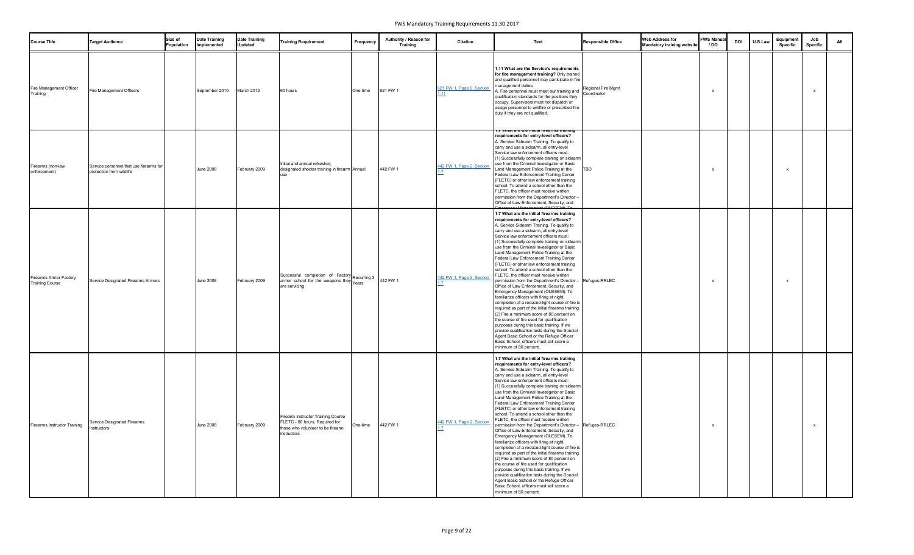| <b>Course Title</b>                                     | <b>Target Audience</b>                                              | Size of<br>Population | <b>Date Training</b><br>Implemented | <b>Date Training</b><br><b>Updated</b> | <b>Training Requirement</b>                                                                                              | Frequency | Authority / Reason for<br><b>Training</b> | <b>Citation</b>           | Text                                                                                                                                                                                                                                                                                                                                                                                                                                                                                                                                                                                                                                                                                                                                                                                                                                                                                                                                                                                                                                                                                                                                                                 | <b>Responsible Office</b>         | <b>Web Address for</b><br><b>Mandatory training website</b> | <b>FWS Manual</b><br>/ DO | <b>DOI</b> | U.S.Law | Equipment<br><b>Specific</b> | Job<br>Specific | ΔII |
|---------------------------------------------------------|---------------------------------------------------------------------|-----------------------|-------------------------------------|----------------------------------------|--------------------------------------------------------------------------------------------------------------------------|-----------|-------------------------------------------|---------------------------|----------------------------------------------------------------------------------------------------------------------------------------------------------------------------------------------------------------------------------------------------------------------------------------------------------------------------------------------------------------------------------------------------------------------------------------------------------------------------------------------------------------------------------------------------------------------------------------------------------------------------------------------------------------------------------------------------------------------------------------------------------------------------------------------------------------------------------------------------------------------------------------------------------------------------------------------------------------------------------------------------------------------------------------------------------------------------------------------------------------------------------------------------------------------|-----------------------------------|-------------------------------------------------------------|---------------------------|------------|---------|------------------------------|-----------------|-----|
| Fire Management Officer<br>Training                     | Fire Management Officers                                            |                       | September 2010                      | March 2012                             | 60 hours                                                                                                                 | One-time  | 621 FW 1                                  | 621 FW 1, Page 9, Section | 1.11 What are the Service's requirements<br>for fire management training? Only trained<br>and qualified personnel may participate in fire<br>management duties.<br>A. Fire personnel must meet our training and<br>qualification standards for the positions they<br>occupy. Supervisors must not dispatch or<br>assign personnel to wildfire or prescribed fire<br>duty if they are not qualified.                                                                                                                                                                                                                                                                                                                                                                                                                                                                                                                                                                                                                                                                                                                                                                  | Regional Fire Mgmt<br>Coordinator |                                                             |                           |            |         |                              |                 |     |
| Firearms (non-law<br>enforcement)                       | Service personnel that use firearms for<br>protection from wildlife |                       | <b>June 2008</b>                    | February 2009                          | Initial and annual refresher;<br>designated shooter training in firearm Annual<br>use                                    |           | 442 FW 1                                  | 442 FW 1, Page 2, Section | r. / what are the mitial meanins training<br>requirements for entry-level officers?<br>A. Service Sidearm Training. To qualify to<br>carry and use a sidearm, all entry-level<br>Service law enforcement officers must:<br>(1) Successfully complete training on sidearm<br>use from the Criminal Investigator or Basic<br>∟and Management Police Training at the<br>Federal Law Enforcement Training Center<br>(FLETC) or other law enforcement training<br>school. To attend a school other than the<br>FLETC, the officer must receive written<br>permission from the Department's Director -<br>Office of Law Enforcement, Security, and                                                                                                                                                                                                                                                                                                                                                                                                                                                                                                                         | BD.                               |                                                             |                           |            |         |                              |                 |     |
| <b>Firearms Armor Factory</b><br><b>Training Course</b> | Service Designated Firearms Armors                                  |                       | <b>June 2008</b>                    | February 2009                          | Successful completion of Factory<br>armor school for the weapons they<br>Years<br>Years<br>are servicing                 |           |                                           | 442 FW 1, Page 2, Section | 1.7 What are the initial firearms training<br>requirements for entry-level officers?<br>A. Service Sidearm Training. To qualify to<br>carry and use a sidearm, all entry-level<br>Service law enforcement officers must:<br>(1) Successfully complete training on sidearm<br>use from the Criminal Investigator or Basic<br>Land Management Police Training at the<br>Federal Law Enforcement Training Center<br>(FLETC) or other law enforcement training<br>school. To attend a school other than the<br>FLETC, the officer must receive written<br>permission from the Department's Director - Refuges-RRLEC<br>Office of Law Enforcement, Security, and<br>Emergency Management (OLESEM). To<br>familiarize officers with firing at night,<br>completion of a reduced-light course of fire is<br>required as part of the initial firearms training.<br>(2) Fire a minimum score of 80 percent on<br>the course of fire used for qualification<br>purposes during this basic training. If we<br>provide qualification tests during the Special<br>Agent Basic School or the Refuge Officer<br>Basic School, officers must still score a<br>minimum of 80 percent. |                                   |                                                             |                           |            |         |                              |                 |     |
| <b>Firearms Instructor Training</b>                     | Service Designated Firearms<br>Instructors                          |                       | <b>June 2008</b>                    | February 2009                          | Firearm Instructor Training Course<br>FLETC - 80 hours. Required for<br>those who volunteer to be firearm<br>instructors | One-time  | 442 FW 1                                  | 442 FW 1, Page 2, Section | 1.7 What are the initial firearms training<br>requirements for entry-level officers?<br>A. Service Sidearm Training. To qualify to<br>carry and use a sidearm, all entry-level<br>Service law enforcement officers must:<br>(1) Successfully complete training on sidearm<br>use from the Criminal Investigator or Basic<br>Land Management Police Training at the<br>Federal Law Enforcement Training Center<br>(FLETC) or other law enforcement training<br>school. To attend a school other than the<br>FLETC, the officer must receive written<br>permission from the Department's Director - Refuges-RRLEC<br>Office of Law Enforcement, Security, and<br>Emergency Management (OLESEM). To<br>familiarize officers with firing at night,<br>completion of a reduced-light course of fire is<br>required as part of the initial firearms training.<br>(2) Fire a minimum score of 80 percent on<br>the course of fire used for qualification<br>purposes during this basic training. If we<br>provide qualification tests during the Special<br>Agent Basic School or the Refuge Officer<br>Basic School, officers must still score a<br>minimum of 80 percent. |                                   |                                                             |                           |            |         |                              | $\mathbf{x}$    |     |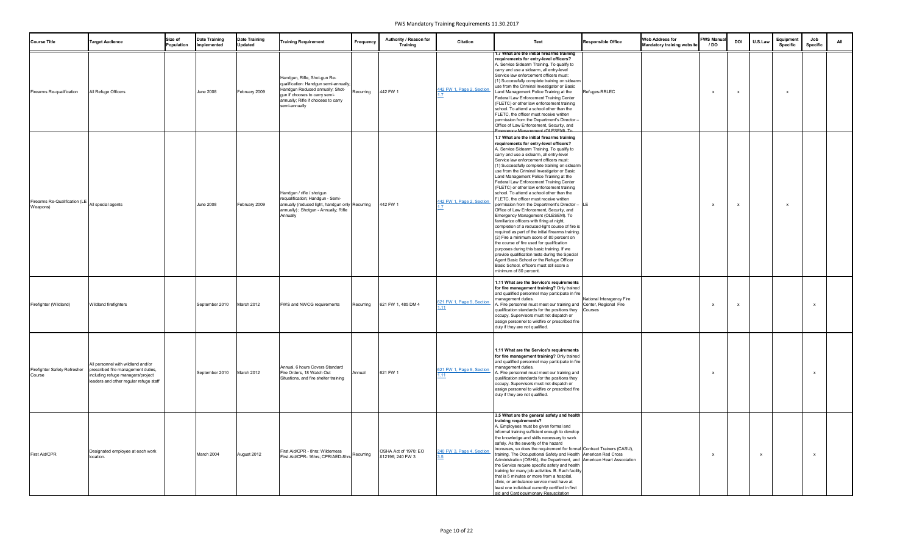| <b>Course Title</b>                                          | <b>Target Audience</b>                                                                                                                                  | Size of<br>Population | <b>Date Training</b><br>Implemented | <b>Date Training</b><br><b>Updated</b> | <b>Training Requirement</b>                                                                                                                                                                       | Frequency | Authority / Reason for<br><b>Training</b> | <b>Citation</b>           | Text                                                                                                                                                                                                                                                                                                                                                                                                                                                                                                                                                                                                                                                                                                                                                                                                                                                                                                                                                                                                                                                                                                                                                      | <b>Responsible Office</b> | <b>Web Address for</b><br><b>Mandatory training website</b> | <b>FWS Manual</b><br>/ DO | <b>DOI</b>   | U.S.Law      | Equipment<br><b>Specific</b> | Job<br><b>Specific</b> | All |
|--------------------------------------------------------------|---------------------------------------------------------------------------------------------------------------------------------------------------------|-----------------------|-------------------------------------|----------------------------------------|---------------------------------------------------------------------------------------------------------------------------------------------------------------------------------------------------|-----------|-------------------------------------------|---------------------------|-----------------------------------------------------------------------------------------------------------------------------------------------------------------------------------------------------------------------------------------------------------------------------------------------------------------------------------------------------------------------------------------------------------------------------------------------------------------------------------------------------------------------------------------------------------------------------------------------------------------------------------------------------------------------------------------------------------------------------------------------------------------------------------------------------------------------------------------------------------------------------------------------------------------------------------------------------------------------------------------------------------------------------------------------------------------------------------------------------------------------------------------------------------|---------------------------|-------------------------------------------------------------|---------------------------|--------------|--------------|------------------------------|------------------------|-----|
| Firearms Re-qualification                                    | All Refuge Officers                                                                                                                                     |                       | <b>June 2008</b>                    | February 2009                          | Handgun, Rifle, Shot-gun Re-<br>qualification: Handgun semi-annually;<br>Handgun Reduced annually; Shot-<br>gun if chooses to carry semi-<br>annually; Rifle if chooses to carry<br>semi-annually | Recurring | 442 FW 1                                  | 442 FW 1, Page 2, Section | 1./ What are the initial firearms training<br>requirements for entry-level officers?<br>A. Service Sidearm Training. To qualify to<br>carry and use a sidearm, all entry-level<br>Service law enforcement officers must:<br>(1) Successfully complete training on sidearm<br>use from the Criminal Investigator or Basic<br>Land Management Police Training at the<br>Federal Law Enforcement Training Center<br>(FLETC) or other law enforcement training<br>school. To attend a school other than the<br>FLETC, the officer must receive written<br>permission from the Department's Director -<br>Office of Law Enforcement, Security, and<br>mergency Management (OLESEM) To                                                                                                                                                                                                                                                                                                                                                                                                                                                                          | Refuges-RRLEC             |                                                             |                           |              |              |                              |                        |     |
| Firearms Re-Qualification (LE All special agents<br>Weapons) |                                                                                                                                                         |                       | <b>June 2008</b>                    | February 2009                          | Handgun / rifle / shotgun<br>requalification; Handgun - Semi-<br>annually (reduced light, handgun only Recurring<br>annually) ; Shotgun - Annually; Rifle<br>Annually                             |           | 442 FW 1                                  | 442 FW 1, Page 2, Section | 1.7 What are the initial firearms training<br>requirements for entry-level officers?<br>A. Service Sidearm Training. To qualify to<br>carry and use a sidearm, all entry-level<br>Service law enforcement officers must:<br>(1) Successfully complete training on sidearm<br>use from the Criminal Investigator or Basic<br>Land Management Police Training at the<br>Federal Law Enforcement Training Center<br>(FLETC) or other law enforcement training<br>school. To attend a school other than the<br>FLETC, the officer must receive written<br>permission from the Department's Director - LE<br>Office of Law Enforcement, Security, and<br>Emergency Management (OLESEM). To<br>familiarize officers with firing at night,<br>completion of a reduced-light course of fire is<br>required as part of the initial firearms training.<br>(2) Fire a minimum score of 80 percent on<br>the course of fire used for qualification<br>purposes during this basic training. If we<br>provide qualification tests during the Special<br>Agent Basic School or the Refuge Officer<br>Basic School, officers must still score a<br>minimum of 80 percent. |                           |                                                             | <b>X</b>                  | $\mathbf{x}$ |              |                              |                        |     |
| Firefighter (Wildland)                                       | Wildland firefighters                                                                                                                                   |                       | September 2010                      | March 2012                             | FWS and NWCG requirements                                                                                                                                                                         | Recurring | 621 FW 1, 485 DM 4                        | 621 FW 1, Page 9, Section | 1.11 What are the Service's requirements<br>for fire management training? Only trained<br>and qualified personnel may participate in fire<br>management duties.<br>A. Fire personnel must meet our training and Center, Regional Fire<br>qualification standards for the positions they Courses<br>occupy. Supervisors must not dispatch or<br>assign personnel to wildfire or prescribed fire<br>duty if they are not qualified.                                                                                                                                                                                                                                                                                                                                                                                                                                                                                                                                                                                                                                                                                                                         | National Interagency Fire |                                                             |                           |              |              |                              | $\mathsf{x}$           |     |
| Firefighter Safety Refresher<br>Course                       | All personnel with wildland and/or<br>prescribed fire management duties,<br>including refuge managers/project<br>leaders and other regular refuge staff |                       | September 2010                      | March 2012                             | Annual, 6 hours Covers Standard<br>Fire Orders, 18 Watch Out<br>Situations, and fire shelter training                                                                                             | Annual    | 621 FW 1                                  | 621 FW 1, Page 9, Section | 1.11 What are the Service's requirements<br>for fire management training? Only trained<br>and qualified personnel may participate in fire<br>management duties.<br>A. Fire personnel must meet our training and<br>qualification standards for the positions they<br>occupy. Supervisors must not dispatch or<br>assign personnel to wildfire or prescribed fire<br>duty if they are not qualified.                                                                                                                                                                                                                                                                                                                                                                                                                                                                                                                                                                                                                                                                                                                                                       |                           |                                                             |                           |              |              |                              | $\mathsf{x}$           |     |
| <b>First Aid/CPR</b>                                         | Designated employee at each work<br>location.                                                                                                           |                       | March 2004                          | August 2012                            | First Aid/CPR - 8hrs; Wilderness<br>First Aid/CPR- 16hrs; CPR/AED-8hrs                                                                                                                            | Recurring | OSHA Act of 1970; EO<br>#12196; 240 FW 3  | 240 FW 3, Page 4, Section | 3.5 What are the general safety and health<br>training requirements?<br>A. Employees must be given formal and<br>informal training sufficient enough to develop<br>the knowledge and skills necessary to work<br>safely. As the severity of the hazard<br>increases, so does the requirement for formal Contract Trainers (CASU),<br>training. The Occupational Safety and Health American Red Cross<br>Administration (OSHA), the Department, and American Heart Association<br>the Service require specific safety and health<br>training for many job activities. B. Each facility<br>that is 5 minutes or more from a hospital,<br>clinic, or ambulance service must have at<br>least one individual currently certified in first<br>aid and Cardiopulmonary Resuscitation                                                                                                                                                                                                                                                                                                                                                                            |                           |                                                             |                           |              | $\mathbf{x}$ |                              | $\mathsf{x}$           |     |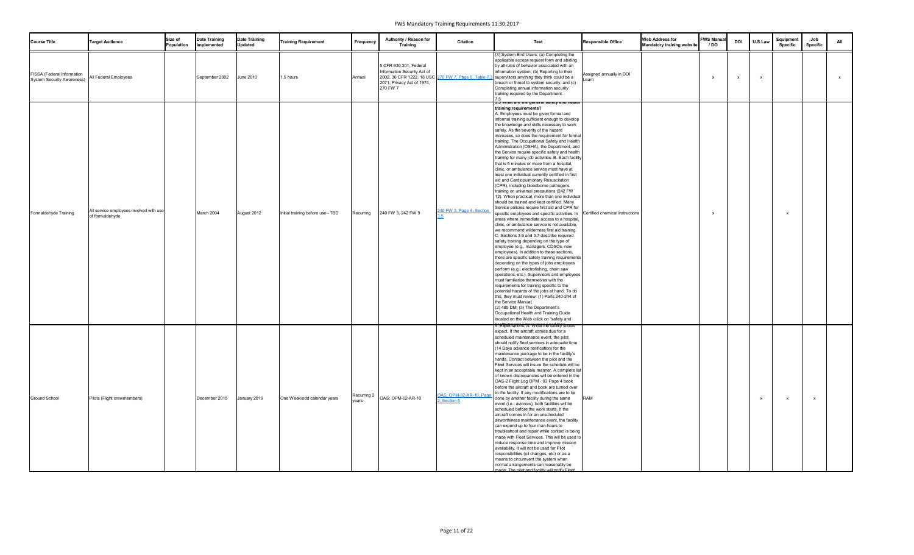| <b>Course Title</b>                                             | <b>Target Audience</b>                                     | Size of<br>Population | <b>Date Training</b><br>Implemented | <b>Date Training</b><br><b>Updated</b> | <b>Training Requirement</b>       | Frequency | Authority / Reason for<br><b>Training</b>                                                                                                               | <b>Citation</b>                         | Text                                                                                                                                                                                                                                                                                                                                                                                                                                                                                                                                                                                                                                                                                                                                                                                                                                                                                                                                                                                                                                                                                                                                                                                                                                                                                                                                                                                                                                                                                                                                                                                                                                                                                                                                                                                                                                                                                                       | <b>Responsible Office</b> | <b>Web Address for</b><br><b>Mandatory training website</b> | <b>FWS Manual</b><br>/ DO | <b>DOI</b> | U.S.Law      | Equipment<br><b>Specific</b> | Job<br>Specific | All      |
|-----------------------------------------------------------------|------------------------------------------------------------|-----------------------|-------------------------------------|----------------------------------------|-----------------------------------|-----------|---------------------------------------------------------------------------------------------------------------------------------------------------------|-----------------------------------------|------------------------------------------------------------------------------------------------------------------------------------------------------------------------------------------------------------------------------------------------------------------------------------------------------------------------------------------------------------------------------------------------------------------------------------------------------------------------------------------------------------------------------------------------------------------------------------------------------------------------------------------------------------------------------------------------------------------------------------------------------------------------------------------------------------------------------------------------------------------------------------------------------------------------------------------------------------------------------------------------------------------------------------------------------------------------------------------------------------------------------------------------------------------------------------------------------------------------------------------------------------------------------------------------------------------------------------------------------------------------------------------------------------------------------------------------------------------------------------------------------------------------------------------------------------------------------------------------------------------------------------------------------------------------------------------------------------------------------------------------------------------------------------------------------------------------------------------------------------------------------------------------------------|---------------------------|-------------------------------------------------------------|---------------------------|------------|--------------|------------------------------|-----------------|----------|
| FISSA (Federal Information<br><b>System Security Awareness)</b> | All Federal Employees                                      |                       | September 2002                      | <b>June 2010</b>                       | 1.5 hours                         | Annual    | 5 CFR 930.301, Federal<br>Information Security Act of<br>2002, 36 CFR 1222, 18 USC 270 FW 7, Page 6, Table 7.<br>2071, Privacy Act of 1974,<br>270 FW 7 |                                         | (3) System End Users: (a) Completing the<br>applicable access request form and abiding<br>by all rules of behavior associated with an<br>information system; (b) Reporting to their<br>supervisors anything they think could be a<br>breach or threat to system security; and (c)<br>Completing annual information security<br>training required by the Department.<br>7.5                                                                                                                                                                                                                                                                                                                                                                                                                                                                                                                                                                                                                                                                                                                                                                                                                                                                                                                                                                                                                                                                                                                                                                                                                                                                                                                                                                                                                                                                                                                                 | Assigned annually in DOI  |                                                             |                           |            | $\mathsf{x}$ |                              |                 | <b>X</b> |
| Formaldehyde Training                                           | All service employees involved with use<br>of formaldehyde |                       | March 2004                          | August 2012                            | Initial training before use - TBD | Recurring | 240 FW 3, 242 FW 9                                                                                                                                      | 240 FW 3, Page 4, Section               | <u>১.৩ what are the general salety and health</u><br>training requirements?<br>A. Employees must be given formal and<br>informal training sufficient enough to develop<br>the knowledge and skills necessary to work<br>safely. As the severity of the hazard<br>increases, so does the requirement for formal<br>training. The Occupational Safety and Health<br>Administration (OSHA), the Department, and<br>the Service require specific safety and health<br>training for many job activities. B. Each facility<br>that is 5 minutes or more from a hospital,<br>clinic, or ambulance service must have at<br>least one individual currently certified in first<br>aid and Cardiopulmonary Resuscitation<br>(CPR), including bloodborne pathogens<br>training on universal precautions (242 FW<br>12). When practical, more than one individual<br>should be trained and kept certified. Many<br>Service policies require first aid and CPR for<br>specific employees and specific activities. In Certified chemical instructions<br>areas where immediate access to a hospital,<br>clinic, or ambulance service is not available,<br>we recommend wilderness first aid training.<br>C. Sections 3.6 and 3.7 describe required<br>safety training depending on the type of<br>employee (e.g., managers, CDSOs, new<br>employees). In addition to these sections,<br>there are specific safety training requirements<br>depending on the types of jobs employees<br>perform (e.g., electrofishing, chain saw<br>operations, etc.). Supervisors and employees<br>must familiarize themselves with the<br>requirements for training specific to the<br>potential hazards of the jobs at hand. To do<br>this, they must review: (1) Parts 240-244 of<br>the Service Manual;<br>$(2)$ 485 DM; $(3)$ The Department's<br>Occupational Health and Training Guide<br>located on the Web (click on "safety and |                           |                                                             |                           |            |              |                              |                 |          |
| <b>Ground School</b>                                            | Pilots (Flight crewmembers)                                |                       | December 2015                       | January 2019                           | One Week/odd calendar years       | vears     | Recurring 2 OAS: OPM-02-AR-10                                                                                                                           | OAS: OPM-02-AR-10, Page<br>2, Section 5 | 5. Expectations: "A. What the Taclity should<br>expect. If the aircraft comes due for a<br>scheduled maintenance event, the pilot<br>should notify fleet services in adequate time<br>(14 Days advance notification) for the<br>maintenance package to be in the facility's<br>hands. Contact between the pilot and the<br>Fleet Services will insure the schedule will be<br>kept in an acceptable manner. A complete lis<br>of known discrepancies will be entered in the<br>OAS-2 Flight Log OPM - 03 Page 4 book<br>before the aircraft and book are turned over<br>to the facility. If any modifications are to be<br>done by another facility during the same<br>event (i.e.: avionics), both facilities will be<br>scheduled before the work starts. If the<br>aircraft comes in for an unscheduled<br>airworthiness maintenance event, the facility<br>can expend up to four man-hours to<br>troubleshoot and repair while contact is being<br>made with Fleet Services. This will be used to<br>reduce response time and improve mission<br>availability. It will not be used for Pilot<br>responsibilities (oil changes, etc) or as a<br>means to circumvent the system when<br>normal arrangements can reasonably be<br>nade. The pilot and facility will notify Fleet                                                                                                                                                                                                                                                                                                                                                                                                                                                                                                                                                                                                                          | <b>RAM</b>                |                                                             |                           |            | $\mathsf{x}$ |                              | $\mathsf{x}$    |          |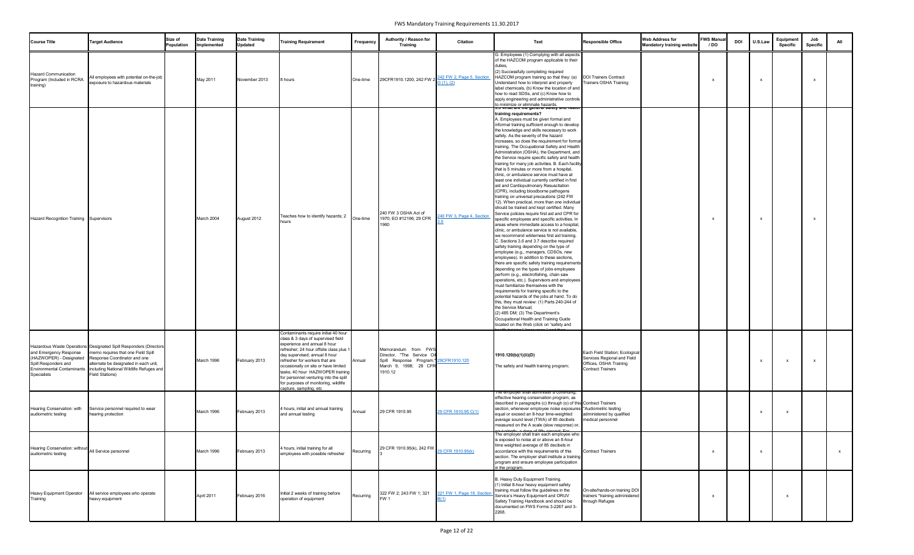| <b>Course Title</b>                                                                                                           | <b>Target Audience</b>                                                                                                                                                                                                                         | Size of<br>Population | <b>Date Training</b><br>Implemented | <b>Date Training</b><br><b>Updated</b> | <b>Training Requirement</b>                                                                                                                                                                                                                                                                                                                                                                                      | Frequency | Authority / Reason for<br><b>Training</b>                                                                         | <b>Citation</b>                        | Text                                                                                                                                                                                                                                                                                                                                                                                                                                                                                                                                                                                                                                                                                                                                                                                                                                                                                                                                                                                                                                                                                                                                                                                                                                                                                                                                                                                                                                                                                                                                                                                                                                                                                                                                                                                                                                                                      | <b>Responsible Office</b>                                                                                           | <b>Web Address for</b><br><b>Mandatory training website</b> | <b>FWS Manua</b><br>/ DO | <b>DOI</b> | U.S.Law      | Equipment<br><b>Specific</b> | Job<br><b>Specific</b> | All |
|-------------------------------------------------------------------------------------------------------------------------------|------------------------------------------------------------------------------------------------------------------------------------------------------------------------------------------------------------------------------------------------|-----------------------|-------------------------------------|----------------------------------------|------------------------------------------------------------------------------------------------------------------------------------------------------------------------------------------------------------------------------------------------------------------------------------------------------------------------------------------------------------------------------------------------------------------|-----------|-------------------------------------------------------------------------------------------------------------------|----------------------------------------|---------------------------------------------------------------------------------------------------------------------------------------------------------------------------------------------------------------------------------------------------------------------------------------------------------------------------------------------------------------------------------------------------------------------------------------------------------------------------------------------------------------------------------------------------------------------------------------------------------------------------------------------------------------------------------------------------------------------------------------------------------------------------------------------------------------------------------------------------------------------------------------------------------------------------------------------------------------------------------------------------------------------------------------------------------------------------------------------------------------------------------------------------------------------------------------------------------------------------------------------------------------------------------------------------------------------------------------------------------------------------------------------------------------------------------------------------------------------------------------------------------------------------------------------------------------------------------------------------------------------------------------------------------------------------------------------------------------------------------------------------------------------------------------------------------------------------------------------------------------------------|---------------------------------------------------------------------------------------------------------------------|-------------------------------------------------------------|--------------------------|------------|--------------|------------------------------|------------------------|-----|
| <b>Hazard Communication</b><br>Program (Included in RCRA<br>training)                                                         | All employees with potential on-the-job<br>exposure to hazardous materials                                                                                                                                                                     |                       | May 2011                            | November 2013                          | 8 hours                                                                                                                                                                                                                                                                                                                                                                                                          | One-time  | 29CFR1910.1200, 242 FW 2                                                                                          | 242 FW 2, Page 5, Section<br>G(1), (2) | G. Employees (1) Complying with all aspects<br>of the HAZCOM program applicable to their<br>duties.<br>(2) Successfully completing required<br>HAZCOM program training so that they: (a)<br>Understand how to interpret and properly<br>label chemicals, (b) Know the location of and<br>how to read SDSs, and (c) Know how to<br>apply engineering and administrative controls<br>to minimize or eliminate hazards.                                                                                                                                                                                                                                                                                                                                                                                                                                                                                                                                                                                                                                                                                                                                                                                                                                                                                                                                                                                                                                                                                                                                                                                                                                                                                                                                                                                                                                                      | <b>DOI Trainers Contract</b><br><b>Trainers OSHA Training</b>                                                       |                                                             |                          |            | $\mathsf{x}$ |                              | $\mathsf{x}$           |     |
| Hazard Recognition Training Supervisors                                                                                       |                                                                                                                                                                                                                                                |                       | March 2004                          | August 2012                            | Teaches how to identify hazards; 2<br>hours                                                                                                                                                                                                                                                                                                                                                                      | One-time  | 240 FW 3 OSHA Act of<br>1970; EO #12196; 29 CFR<br>1960                                                           | 240 FW 3, Page 4, Section              | <del>ס.ס what are the general salety and healt</del><br>training requirements?<br>A. Employees must be given formal and<br>informal training sufficient enough to develop<br>the knowledge and skills necessary to work<br>safely. As the severity of the hazard<br>increases, so does the requirement for formal<br>training. The Occupational Safety and Health<br>Administration (OSHA), the Department, and<br>the Service require specific safety and health<br>training for many job activities. B. Each facility<br>that is 5 minutes or more from a hospital,<br>clinic, or ambulance service must have at<br>least one individual currently certified in first<br>aid and Cardiopulmonary Resuscitation<br>(CPR), including bloodborne pathogens<br>training on universal precautions (242 FW<br>12). When practical, more than one individual<br>should be trained and kept certified. Many<br>Service policies require first aid and CPR for<br>specific employees and specific activities. In<br>areas where immediate access to a hospital,<br>clinic, or ambulance service is not available,<br>we recommend wilderness first aid training.<br>C. Sections 3.6 and 3.7 describe required<br>safety training depending on the type of<br>employee (e.g., managers, CDSOs, new<br>employees). In addition to these sections,<br>there are specific safety training requirements<br>depending on the types of jobs employees<br>perform (e.g., electrofishing, chain saw<br>operations, etc.). Supervisors and employees<br>must familiarize themselves with the<br>requirements for training specific to the<br>potential hazards of the jobs at hand. To do<br>this, they must review: (1) Parts 240-244 of<br>the Service Manual;<br>(2) 485 DM; (3) The Department's<br>Occupational Health and Training Guide<br>located on the Web (click on "safety and |                                                                                                                     |                                                             |                          |            | $\mathsf{x}$ |                              | $\mathsf{x}$           |     |
| and Emergency Response<br>(HAZWOPER) - Designated<br>Spill Responders and<br><b>Environmental Contaminants</b><br>Specialists | Hazardous Waste Operations Designated Spill Responders (Directors<br>memo requires that one Field Spill<br>Response Coordinator and one<br>alternate be designated in each unit,<br>including National Wildlife Refuges and<br>Field Stations) |                       | March 1996                          | February 2013                          | Contaminants require initial 40 hour<br>class & 3 days of supervised field<br>experience and annual 8 hour<br>refresher; 24 hour offsite class plus 1<br>day supervised; annual 8 hour<br>refresher for workers that are<br>occasionally on site or have limited<br>tasks; 40 hour HAZWOPER training<br>for personnel venturing into the spill<br>for purposes of monitoring, wildlife<br>capture, sampling, etc | Annual    | Memorandum from FWS<br>Director, "The Service Oil<br>Spill Response Program,"<br>March 9, 1998; 29 CFR<br>1910.12 | 9CFR1910.120                           | 1910.120(b)(1)(ii)(D)<br>The safety and health training program;                                                                                                                                                                                                                                                                                                                                                                                                                                                                                                                                                                                                                                                                                                                                                                                                                                                                                                                                                                                                                                                                                                                                                                                                                                                                                                                                                                                                                                                                                                                                                                                                                                                                                                                                                                                                          | Each Field Station; Ecological<br>Services Regional and Field<br>Offices, OSHA Training<br><b>Contract Trainers</b> |                                                             |                          |            | X            | x                            | $\mathsf{x}$           |     |
| Hearing Conservation: with<br>audiometric testing                                                                             | Service personnel required to wear<br>hearing protection                                                                                                                                                                                       |                       | March 1996                          | February 2013                          | 4 hours, initial and annual training<br>and annual testing                                                                                                                                                                                                                                                                                                                                                       | Annual    | 29 CFR 1910.95                                                                                                    | 29 CFR 1910.95 C(1)                    | ne employer shall administer a continuing,<br>effective hearing conservation program, as<br>described in paragraphs (c) through (o) of this Contract Trainers<br>section, whenever employee noise exposures *Audiometric testing<br>equal or exceed an 8-hour time-weighted<br>average sound level (TWA) of 85 decibels<br>measured on the A scale (slow response) or,                                                                                                                                                                                                                                                                                                                                                                                                                                                                                                                                                                                                                                                                                                                                                                                                                                                                                                                                                                                                                                                                                                                                                                                                                                                                                                                                                                                                                                                                                                    | administered by qualified<br>medical personnel                                                                      |                                                             |                          |            |              |                              |                        |     |
| Hearing Conservation: without All Service personnel<br>audiometric testing                                                    |                                                                                                                                                                                                                                                |                       | March 1996                          | February 2013                          | 4 hours, initial training for all<br>employees with possible refresher                                                                                                                                                                                                                                                                                                                                           | Recurring | 29 CFR 1910.95(k), 242 FW $_{29}$ CFR 1910.95(k)                                                                  |                                        | The employer shall train each employee who<br>is exposed to noise at or above an 8-hour<br>time weighted average of 85 decibels in<br>accordance with the requirements of this<br>section. The employer shall institute a training<br>program and ensure employee participation<br>in the program.                                                                                                                                                                                                                                                                                                                                                                                                                                                                                                                                                                                                                                                                                                                                                                                                                                                                                                                                                                                                                                                                                                                                                                                                                                                                                                                                                                                                                                                                                                                                                                        | <b>Contract Trainers</b>                                                                                            |                                                             |                          |            | X            |                              |                        |     |
| Heavy Equipment Operator<br>Training                                                                                          | All service employees who operate<br>heavy equipment                                                                                                                                                                                           |                       | April 2011                          | February 2016                          | Initial 2 weeks of training before<br>operation of equipment                                                                                                                                                                                                                                                                                                                                                     | Recurring | 322 FW 2, 243 FW 1, 321<br>FW <sub>1</sub>                                                                        | 321 FW 1, Page 18, Section             | B. Heavy Duty Equipment Training.<br>(1) Initial 8-hour heavy equipment safety<br>training must follow the guidelines in the<br>Service's Heavy Equipment and ORUV<br>Safety Training Handbook and should be<br>documented on FWS Forms 3-2267 and 3-<br>2268.                                                                                                                                                                                                                                                                                                                                                                                                                                                                                                                                                                                                                                                                                                                                                                                                                                                                                                                                                                                                                                                                                                                                                                                                                                                                                                                                                                                                                                                                                                                                                                                                            | On-site/hands-on training DOI<br>trainers *training administered<br>through Refuges                                 |                                                             |                          |            |              |                              |                        |     |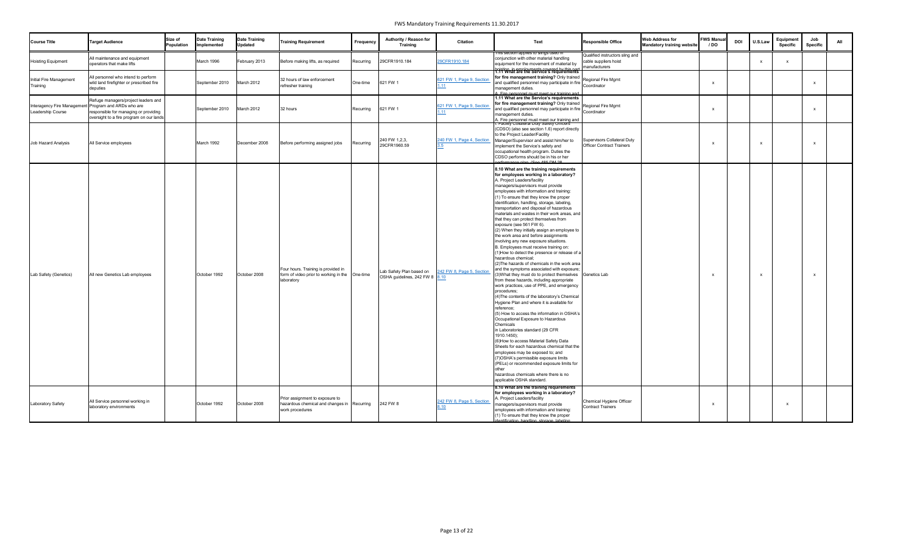| <b>Course Title</b>                                                       | <b>Target Audience</b>                                                                                                   | Size of<br>Population | <b>Date Training</b><br>Implemented | <b>Date Training</b><br><b>Updated</b> | <b>Training Requirement</b>                                                                         | <b>Frequency</b> | Authority / Reason for<br><b>Training</b>                  | <b>Citation</b>           | Text                                                                                                                                                                                                                                                                                                                                                                                                                                                                                                                                                                                                                                                                                                                                                                                                                                                                                                                                                                                                                                                                                                                                                                                                                                                                                                                                                                                                                                                                                                                                                      | <b>Responsible Office</b>                                                 | <b>Web Address for</b><br><b>Mandatory training website</b> | <b>FWS Manua</b><br>/ DO | <b>DOI</b> | U.S.Law | Equipment<br><b>Specific</b> | Job<br><b>Specific</b> | All |
|---------------------------------------------------------------------------|--------------------------------------------------------------------------------------------------------------------------|-----------------------|-------------------------------------|----------------------------------------|-----------------------------------------------------------------------------------------------------|------------------|------------------------------------------------------------|---------------------------|-----------------------------------------------------------------------------------------------------------------------------------------------------------------------------------------------------------------------------------------------------------------------------------------------------------------------------------------------------------------------------------------------------------------------------------------------------------------------------------------------------------------------------------------------------------------------------------------------------------------------------------------------------------------------------------------------------------------------------------------------------------------------------------------------------------------------------------------------------------------------------------------------------------------------------------------------------------------------------------------------------------------------------------------------------------------------------------------------------------------------------------------------------------------------------------------------------------------------------------------------------------------------------------------------------------------------------------------------------------------------------------------------------------------------------------------------------------------------------------------------------------------------------------------------------------|---------------------------------------------------------------------------|-------------------------------------------------------------|--------------------------|------------|---------|------------------------------|------------------------|-----|
| <b>Hoisting Equipment</b>                                                 | All maintenance and equipment<br>operators that make lifts                                                               |                       | March 1996                          | February 2013                          | Before making lifts, as required                                                                    | Recurring        | 29CFR1910.184                                              | 29CFR1910.184             | rnis section applies to slings used in<br>conjunction with other material handling<br>equipment for the movement of material by                                                                                                                                                                                                                                                                                                                                                                                                                                                                                                                                                                                                                                                                                                                                                                                                                                                                                                                                                                                                                                                                                                                                                                                                                                                                                                                                                                                                                           | Qualified instructors sling and<br>cable suppliers hoist<br>nanufacturers |                                                             |                          |            |         |                              |                        |     |
| Initial Fire Management<br>Training                                       | All personnel who intend to perform<br>wild land firefighter or prescribed fire<br>deputies                              |                       | September 2010                      | March 2012                             | 32 hours of law enforcement<br>refresher training                                                   | One-time         | 621 FW 1                                                   | 621 FW 1, Page 9, Section | hoisting, in amployments covered by this part.<br>1.11 What are the Service's requirements<br>for fire management training? Only trained<br>and qualified personnel may participate in fire Coordinator<br>management duties.<br>Fire personnel must meet our training and                                                                                                                                                                                                                                                                                                                                                                                                                                                                                                                                                                                                                                                                                                                                                                                                                                                                                                                                                                                                                                                                                                                                                                                                                                                                                | Regional Fire Mgmt                                                        |                                                             |                          |            |         |                              | $\mathsf{x}$           |     |
| Interagency Fire Management Program and ARDs who are<br>Leadership Course | Refuge managers/project leaders and<br>responsible for managing or providing<br>oversight to a fire program on our lands |                       | September 2010                      | March 2012                             | 32 hours                                                                                            | Recurring        | 621 FW 1                                                   | 621 FW 1, Page 9, Section | 1.11 What are the Service's requirements<br>for fire management training? Only trained<br>and qualified personnel may participate in fire Coordinator<br>management duties.<br>A. Fire personnel must meet our training and<br>r. Facility Collateral Duty Sarety Officers                                                                                                                                                                                                                                                                                                                                                                                                                                                                                                                                                                                                                                                                                                                                                                                                                                                                                                                                                                                                                                                                                                                                                                                                                                                                                | Regional Fire Mgmt                                                        |                                                             |                          |            |         |                              | $\mathsf{x}$           |     |
| Job Hazard Analysis                                                       | All Service employees                                                                                                    |                       | March 1992                          | December 2008                          | Before performing assigned jobs                                                                     | Recurring        | 240 FW 1,2,3,<br>29CFR1960.59                              | 240 FW 1, Page 4, Section | (CDSO) (also see section 1.6) report directly<br>to the Project Leader/Facility<br>Manager/Supervisor and assist him/her to<br>implement the Service's safety and<br>occupational health program. Duties the<br>CDSO performs should be in his or her<br>erformance plan (See 185 DM 28                                                                                                                                                                                                                                                                                                                                                                                                                                                                                                                                                                                                                                                                                                                                                                                                                                                                                                                                                                                                                                                                                                                                                                                                                                                                   | Supervisors Collateral Duty<br><b>Officer Contract Trainers</b>           |                                                             |                          |            | x       |                              | $\mathsf{x}$           |     |
| Lab Safety (Genetics)                                                     | All new Genetics Lab employees                                                                                           |                       | October 1992                        | October 2008                           | Four hours. Training is provided in<br>form of video prior to working in the One-time<br>laboratory |                  | Lab Safety Plan based on<br>OSHA guidelines, 242 FW 8 8.10 | 242 FW 8, Page 5, Section | 8.10 What are the training requirements<br>for employees working in a laboratory?<br>A. Project Leaders/facility<br>managers/supervisors must provide<br>employees with information and training:<br>(1) To ensure that they know the proper<br>identification, handling, storage, labeling,<br>transportation and disposal of hazardous<br>materials and wastes in their work areas, and<br>that they can protect themselves from<br>exposure (see 561 FW 6).<br>(2) When they initially assign an employee to<br>the work area and before assignments<br>involving any new exposure situations.<br>B. Employees must receive training on:<br>1) How to detect the presence or release of a<br>hazardous chemical;<br>(2) The hazards of chemicals in the work area<br>and the symptoms associated with exposure;<br>3) What they must do to protect themselves Genetics Lab<br>from these hazards, including appropriate<br>work practices, use of PPE, and emergency<br>procedures;<br>(4) The contents of the laboratory's Chemical<br>Hygiene Plan and where it is available for<br>reference;<br>(5) How to access the information in OSHA's<br>Occupational Exposure to Hazardous<br>Chemicals<br>n Laboratories standard (29 CFR<br>1910.1450);<br>(6) How to access Material Safety Data<br>Sheets for each hazardous chemical that the<br>employees may be exposed to; and<br>7) OSHA's permissible exposure limits<br>(PELs) or recommended exposure limits for<br>other<br>hazardous chemicals where there is no<br>applicable OSHA standard. |                                                                           |                                                             |                          |            |         |                              |                        |     |
| Laboratory Safety                                                         | All Service personnel working in<br>laboratory environments                                                              |                       | October 1992                        | October 2008                           | Prior assignment to exposure to<br>hazardous chemical and changes in Recurring<br>work procedures   |                  | 242 FW 8                                                   | 242 FW 8, Page 5, Section | 8.10 What are the training requirements<br>for employees working in a laboratory?<br>A. Project Leaders/facility<br>managers/supervisors must provide<br>employees with information and training:<br>(1) To ensure that they know the proper<br>dentification handling storage labeling                                                                                                                                                                                                                                                                                                                                                                                                                                                                                                                                                                                                                                                                                                                                                                                                                                                                                                                                                                                                                                                                                                                                                                                                                                                                   | Chemical Hygiene Officer<br><b>Contract Trainers</b>                      |                                                             |                          |            |         |                              |                        |     |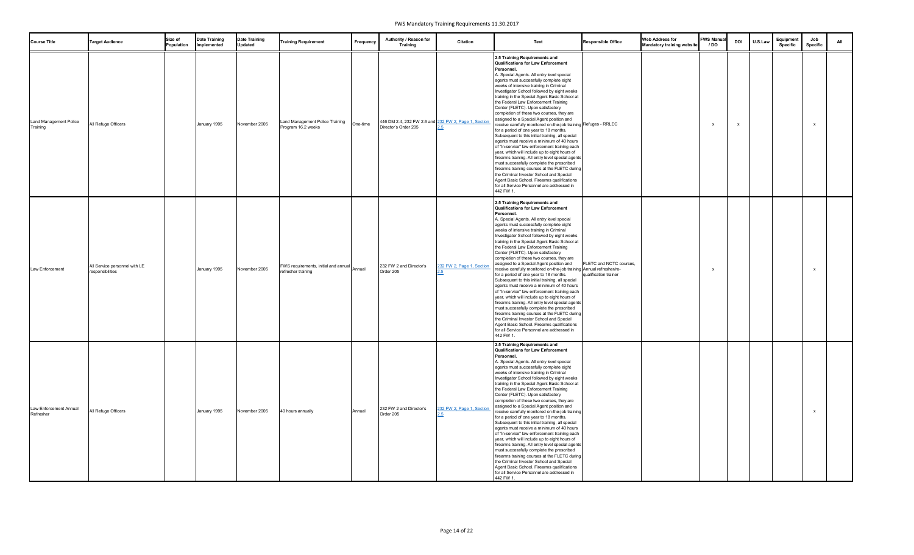| <b>Course Title</b>                 | <b>Target Audience</b>                            | Size of<br>Population | <b>Date Training</b><br>Implemented | <b>Date Training</b><br><b>Updated</b> | <b>Training Requirement</b>                                              | Frequency | Authority / Reason for<br><b>Training</b>                                    | <b>Citation</b>           | Text                                                                                                                                                                                                                                                                                                                                                                                                                                                                                                                                                                                                                                                                                                                                                                                                                                                                                                                                                                                                                                                                                                                             | <b>Responsible Office</b>                        | <b>Web Address for</b><br><b>Mandatory training website</b> | <b>FWS Manual</b><br>/ DO | <b>DOI</b> | U.S.Lav | Equipment<br><b>Specific</b> | Job<br>Specific | All |
|-------------------------------------|---------------------------------------------------|-----------------------|-------------------------------------|----------------------------------------|--------------------------------------------------------------------------|-----------|------------------------------------------------------------------------------|---------------------------|----------------------------------------------------------------------------------------------------------------------------------------------------------------------------------------------------------------------------------------------------------------------------------------------------------------------------------------------------------------------------------------------------------------------------------------------------------------------------------------------------------------------------------------------------------------------------------------------------------------------------------------------------------------------------------------------------------------------------------------------------------------------------------------------------------------------------------------------------------------------------------------------------------------------------------------------------------------------------------------------------------------------------------------------------------------------------------------------------------------------------------|--------------------------------------------------|-------------------------------------------------------------|---------------------------|------------|---------|------------------------------|-----------------|-----|
| Land Management Police<br>Training  | All Refuge Officers                               |                       | January 1995                        | November 2005                          | Land Management Police Training<br>Program 16.2 weeks                    | One-time  | 446 DM 2.4, 232 FW 2.6 and 232 FW 2, Page 1, Section<br>Director's Order 205 |                           | 2.5 Training Requirements and<br><b>Qualifications for Law Enforcement</b><br>Personnel.<br>A. Special Agents. All entry level special<br>agents must successfully complete eight<br>weeks of intensive training in Criminal<br>Investigator School followed by eight weeks<br>training in the Special Agent Basic School at<br>the Federal Law Enforcement Training<br>Center (FLETC). Upon satisfactory<br>completion of these two courses, they are<br>assigned to a Special Agent position and<br>receive carefully monitored on-the-job training Refuges - RRLEC<br>for a period of one year to 18 months.<br>Subsequent to this initial training, all special<br>agents must receive a minimum of 40 hours<br>of "in-service" law enforcement training each<br>year, which will include up to eight hours of<br>firearms training. All entry level special agents<br>must successfully complete the prescribed<br>firearms training courses at the FLETC during<br>the Criminal Investor School and Special<br>Agent Basic School. Firearms qualifications<br>for all Service Personnel are addressed in<br>442 FW 1.      |                                                  |                                                             |                           |            |         |                              |                 |     |
| Law Enforcement                     | All Service personnel with LE<br>responsibilities |                       | January 1995                        | November 2005                          | <b>FWS requirements, initial and annual</b> Annual<br>refresher training |           | 232 FW 2 and Director's<br>Order 205                                         | 232 FW 2, Page 1, Section | 2.5 Training Requirements and<br><b>Qualifications for Law Enforcement</b><br>Personnel.<br>A. Special Agents. All entry level special<br>agents must successfully complete eight<br>weeks of intensive training in Criminal<br>Investigator School followed by eight weeks<br>training in the Special Agent Basic School at<br>the Federal Law Enforcement Training<br>Center (FLETC). Upon satisfactory<br>completion of these two courses, they are<br>assigned to a Special Agent position and<br>receive carefully monitored on-the-job training Annual refresher/re-<br>for a period of one year to 18 months.<br>Subsequent to this initial training, all special<br>agents must receive a minimum of 40 hours<br>of "in-service" law enforcement training each<br>year, which will include up to eight hours of<br>firearms training. All entry level special agents<br>must successfully complete the prescribed<br>firearms training courses at the FLETC during<br>the Criminal Investor School and Special<br>Agent Basic School. Firearms qualifications<br>for all Service Personnel are addressed in<br>442 FW 1. | FLETC and NCTC courses,<br>qualification trainer |                                                             |                           |            |         |                              | $\mathsf{x}$    |     |
| Law Enforcement Annual<br>Refresher | All Refuge Officers                               |                       | January 1995                        | November 2005                          | 40 hours annually                                                        | Annual    | 232 FW 2 and Director's<br>Order 205                                         | 232 FW 2, Page 1, Section | 2.5 Training Requirements and<br><b>Qualifications for Law Enforcement</b><br>Personnel.<br>A. Special Agents. All entry level special<br>agents must successfully complete eight<br>weeks of intensive training in Criminal<br>Investigator School followed by eight weeks<br>training in the Special Agent Basic School at<br>the Federal Law Enforcement Training<br>Center (FLETC). Upon satisfactory<br>completion of these two courses, they are<br>assigned to a Special Agent position and<br>receive carefully monitored on-the-job training<br>for a period of one year to 18 months.<br>Subsequent to this initial training, all special<br>agents must receive a minimum of 40 hours<br>of "in-service" law enforcement training each<br>year, which will include up to eight hours of<br>firearms training. All entry level special agents<br>must successfully complete the prescribed<br>firearms training courses at the FLETC during<br>the Criminal Investor School and Special<br>Agent Basic School. Firearms qualifications<br>for all Service Personnel are addressed in<br>442 FW 1.                      |                                                  |                                                             |                           |            |         |                              |                 |     |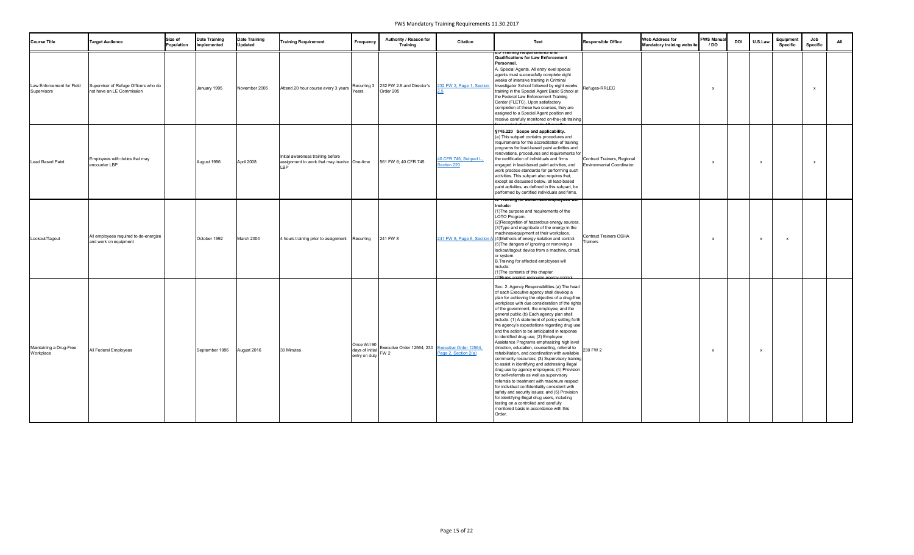| <b>Course Title</b>                      | <b>Target Audience</b>                                            | Size of<br>Population | <b>Date Training</b><br>Implemented | <b>Date Training</b><br><b>Updated</b> | <b>Training Requirement</b>                                                       | Frequency | Authority / Reason for<br><b>Training</b>                                                                 | <b>Citation</b>                      | Text                                                                                                                                                                                                                                                                                                                                                                                                                                                                                                                                                                                                                                                                                                                                                                                                                                                                                                                                                                                                                                                                                                                                                                                | <b>Responsible Office</b>                                       | <b>Web Address for</b><br><b>Mandatory training website</b> | <b>FWS Manua</b><br>/ DO | <b>DOI</b> | U.S.Law                   | Equipment<br>Specific | Job<br>Specific | All |
|------------------------------------------|-------------------------------------------------------------------|-----------------------|-------------------------------------|----------------------------------------|-----------------------------------------------------------------------------------|-----------|-----------------------------------------------------------------------------------------------------------|--------------------------------------|-------------------------------------------------------------------------------------------------------------------------------------------------------------------------------------------------------------------------------------------------------------------------------------------------------------------------------------------------------------------------------------------------------------------------------------------------------------------------------------------------------------------------------------------------------------------------------------------------------------------------------------------------------------------------------------------------------------------------------------------------------------------------------------------------------------------------------------------------------------------------------------------------------------------------------------------------------------------------------------------------------------------------------------------------------------------------------------------------------------------------------------------------------------------------------------|-----------------------------------------------------------------|-------------------------------------------------------------|--------------------------|------------|---------------------------|-----------------------|-----------------|-----|
| Law Enforcement for Field<br>Supervisors | Supervisor of Refuge Officers who do<br>not have an LE Commission |                       | January 1995                        | November 2005                          | Attend 20 hour course every 3 years                                               | Years     | Recurring 3 232 FW 2.6 and Director's<br>Order 205                                                        | 232 FW 2, Page 1, Section            | <del>z.o maining Kequirements ar</del><br><b>Qualifications for Law Enforcement</b><br>Personnel.<br>A. Special Agents. All entry level special<br>agents must successfully complete eight<br>weeks of intensive training in Criminal<br>Investigator School followed by eight weeks<br>training in the Special Agent Basic School at<br>the Federal Law Enforcement Training<br>Center (FLETC). Upon satisfactory<br>completion of these two courses, they are<br>assigned to a Special Agent position and<br>receive carefully monitored on-the-job training                                                                                                                                                                                                                                                                                                                                                                                                                                                                                                                                                                                                                      | Refuges-RRLEC                                                   |                                                             |                          |            |                           |                       |                 |     |
| Lead Based Paint                         | Employees with duties that may<br>encounter LBP                   |                       | August 1996                         | April 2008                             | Initial awareness training before<br>assignment to work that may involve One-time |           | 561 FW 6; 40 CFR 745                                                                                      | 40 CFR 745, Subpart L<br>Section 220 | §745.220 Scope and applicability.<br>(a) This subpart contains procedures and<br>requirements for the accreditation of training<br>programs for lead-based paint activities and<br>renovations, procedures and requirements for<br>the certification of individuals and firms<br>engaged in lead-based paint activities, and<br>work practice standards for performing such<br>activities. This subpart also requires that,<br>except as discussed below, all lead-based<br>paint activities, as defined in this subpart, be<br>performed by certified individuals and firms.                                                                                                                                                                                                                                                                                                                                                                                                                                                                                                                                                                                                       | Contract Trainers, Regional<br><b>Environmental Coordinator</b> |                                                             |                          |            | $\boldsymbol{\mathsf{x}}$ |                       | $\mathbf{x}$    |     |
| Lockout/Tagout                           | All employees required to de-energize<br>and work on equipment    |                       | October 1992                        | March 2004                             | 4 hours training prior to assignment Recurring                                    |           | 241 FW 8                                                                                                  |                                      | A. Training for authorized employees wil<br>include:<br>1) The purpose and requirements of the<br>LOTO Program.<br>(2)Recognition of hazardous energy sources.<br>(3) Type and magnitude of the energy in the<br>machines/equipment at their workplace.<br>241 FW 8, Page 6, Section A (4) Methods of energy isolation and control.<br>(5) The dangers of ignoring or removing a<br>lockout/tagout device from a machine, circuit,<br>or system.<br>B.Training for affected employees will<br>include:<br>(1) The contents of this chapter.                                                                                                                                                                                                                                                                                                                                                                                                                                                                                                                                                                                                                                         | <b>Contract Trainers OSHA</b><br>Trainers                       |                                                             |                          |            | $\boldsymbol{\mathsf{x}}$ |                       |                 |     |
| Maintaining a Drug-Free<br>Workplace     | All Federal Employees                                             |                       | September 1986                      | August 2016                            | 30 Minutes                                                                        |           | Once W/I 90<br>days of initial Executive Order 12564; 230<br>entry on duty FW 2<br>Figure 2, Section 2(a) |                                      | (2) Rules against removing energy control<br>Sec. 2. Agency Responsibilities.(a) The head<br>of each Executive agency shall develop a<br>plan for achieving the objective of a drug-free<br>workplace with due consideration of the rights<br>of the government, the employee, and the<br>general public.(b) Each agency plan shall<br>include: (1) A statement of policy setting forth<br>the agency's expectations regarding drug use<br>and the action to be anticipated in response<br>to identified drug use; (2) Employee<br>Assistance Programs emphasizing high level<br>direction, education, counselling, referral to<br>rehabilitation, and coordination with available<br>community resources; (3) Supervisory training<br>to assist in identifying and addressing illegal<br>drug use by agency employees; (4) Provision<br>for self-referrals as well as supervisory<br>referrals to treatment with maximum respect<br>for individual confidentiality consistent with<br>safety and security issues; and (5) Provision<br>for identifying illegal drug users, including<br>testing on a controlled and carefully<br>monitored basis in accordance with this<br>Order. | 230 FW 2                                                        |                                                             |                          |            | $\mathsf{x}$              |                       |                 |     |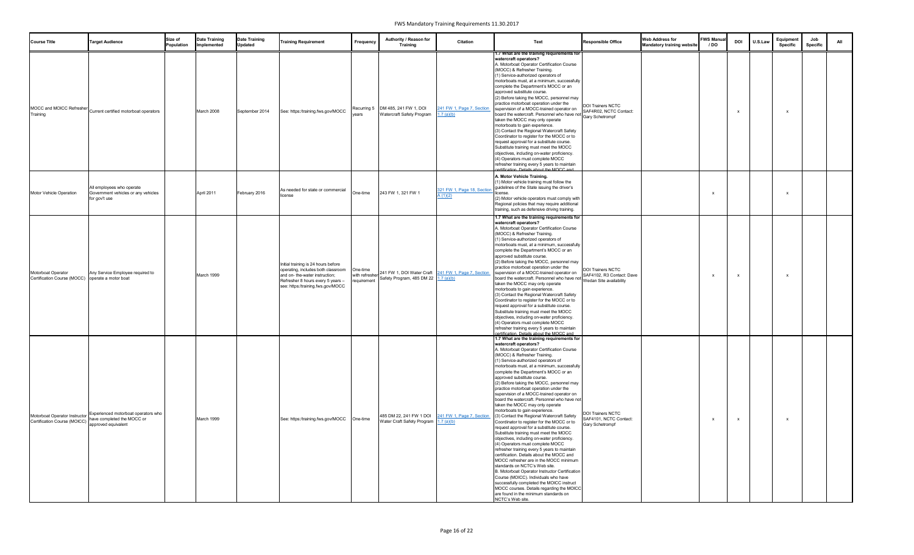| <b>Course Title</b>                                                    | <b>Target Audience</b>                                                                   | Size of<br>Population | <b>Date Training</b><br>Implemented | <b>Date Training</b><br><b>Updated</b> | <b>Training Requirement</b>                                                                                                                                                           | Frequency               | Authority / Reason for<br><b>Training</b>                        | <b>Citation</b>                                                                                                                                                        | Text                                                                                                                                                                                                                                                                                                                                                                                                                                                                                                                                                                                                                                                                                                                                                                                                                                                                                                                                                                                                                                                                                                                                                                                                                                                                   | <b>Responsible Office</b>                                             | <b>Web Address for</b><br><b>Mandatory training website</b> | <b>FWS Manual</b><br>/ DO | <b>DOI</b>   | U.S.Law | Equipment<br>Specific | Job<br>Specific | All |
|------------------------------------------------------------------------|------------------------------------------------------------------------------------------|-----------------------|-------------------------------------|----------------------------------------|---------------------------------------------------------------------------------------------------------------------------------------------------------------------------------------|-------------------------|------------------------------------------------------------------|------------------------------------------------------------------------------------------------------------------------------------------------------------------------|------------------------------------------------------------------------------------------------------------------------------------------------------------------------------------------------------------------------------------------------------------------------------------------------------------------------------------------------------------------------------------------------------------------------------------------------------------------------------------------------------------------------------------------------------------------------------------------------------------------------------------------------------------------------------------------------------------------------------------------------------------------------------------------------------------------------------------------------------------------------------------------------------------------------------------------------------------------------------------------------------------------------------------------------------------------------------------------------------------------------------------------------------------------------------------------------------------------------------------------------------------------------|-----------------------------------------------------------------------|-------------------------------------------------------------|---------------------------|--------------|---------|-----------------------|-----------------|-----|
| MOCC and MOICC Refresher<br>Training                                   | Current certified motorboat operators                                                    |                       | March 2008                          | September 2014                         | See: https:/training.fws.gov/MOCC                                                                                                                                                     | years                   | Recurring 5   DM 485, 241 FW 1, DOI<br>Watercraft Safety Program | 241 FW 1, Page 7, Section<br>1.7 (a)(b)                                                                                                                                | 1.7 What are the training requirements for<br>watercraft operators?<br>A. Motorboat Operator Certification Course<br>(MOCC) & Refresher Training.<br>(1) Service-authorized operators of<br>motorboats must, at a minimum, successfully<br>complete the Department's MOCC or an<br>approved substitute course.<br>(2) Before taking the MOCC, personnel may<br>practice motorboat operation under the<br>supervision of a MOCC-trained operator on<br>board the watercraft. Personnel who have not<br>taken the MOCC may only operate<br>motorboats to gain experience.<br>(3) Contact the Regional Watercraft Safety<br>Coordinator to register for the MOCC or to<br>request approval for a substitute course.<br>Substitute training must meet the MOCC<br>objectives, including on-water proficiency.<br>(4) Operators must complete MOCC<br>refresher training every 5 years to maintain<br>rtification. Details about the MOCC and                                                                                                                                                                                                                                                                                                                               | DOI Trainers NCTC<br>SAF4R02, NCTC Contact:<br><b>Gary Schetrompf</b> |                                                             |                           |              |         |                       |                 |     |
| Motor Vehicle Operation                                                | All employees who operate<br>Government vehicles or any vehicles<br>for gov't use        |                       | April 2011                          | February 2016                          | As needed for state or commercial<br>license                                                                                                                                          | One-time                | 243 FW 1, 321 FW 1                                               | 321 FW 1, Page 18, Section<br>A(1)(2)                                                                                                                                  | A. Motor Vehicle Training.<br>(1) Motor vehicle training must follow the<br>guidelines of the State issuing the driver's<br>(2) Motor vehicle operators must comply with<br>Regional policies that may require additional<br>training, such as defensive driving training.                                                                                                                                                                                                                                                                                                                                                                                                                                                                                                                                                                                                                                                                                                                                                                                                                                                                                                                                                                                             |                                                                       |                                                             |                           |              |         |                       |                 |     |
| Motorboat Operator<br>Certification Course (MOCC) operate a motor boat | Any Service Employee required to                                                         |                       | March 1999                          |                                        | Initial training is 24 hours before<br>operating, includes both classroom<br>and on- the-water instruction;<br>Refresher 8 hours every 5 years -<br>see: https:/training.fws.gov/MOCC | One-time<br>requirement |                                                                  | Une-time<br>with refresher 241 FW 1, DOI Water Craft $\frac{241 \text{ FW } 1 \text{. Page } 7 \text{. Section}}{\frac{1.7 \text{ (a)(b)}}{1 \cdot 7 \text{ (a)(b)}}}$ | 1.7 What are the training requirements for<br>watercraft operators?<br>A. Motorboat Operator Certification Course<br>MOCC) & Refresher Training.<br>(1) Service-authorized operators of<br>motorboats must, at a minimum, successfully<br>complete the Department's MOCC or an<br>approved substitute course.<br>(2) Before taking the MOCC, personnel may<br>practice motorboat operation under the<br>supervision of a MOCC-trained operator on<br>supervision of a MOCC-trained operator on<br>board the watercraft. Personnel who have not<br>wedan Site availability<br>taken the MOCC may only operate<br>motorboats to gain experience.<br>(3) Contact the Regional Watercraft Safety<br>Coordinator to register for the MOCC or to<br>request approval for a substitute course.<br>Substitute training must meet the MOCC<br>objectives, including on-water proficiency.<br>(4) Operators must complete MOCC<br>refresher training every 5 years to maintain<br>certification. Details about the MOCC and                                                                                                                                                                                                                                                      | <b>DOI Trainers NCTC</b>                                              |                                                             |                           |              |         |                       |                 |     |
| Motorboat Operator Instructor<br>Certification Course (MOICC)          | Experienced motorboat operators who<br>have completed the MOCC or<br>approved equivalent |                       | March 1999                          |                                        | See: https:/training.fws.gov/MOCC                                                                                                                                                     | One-time                | Water Craft Safety Program 1.7 (a)(b)                            | 485 DM 22, 241 FW 1 DOI 241 FW 1, Page 7, Section                                                                                                                      | 1.7 What are the training requirements for<br>watercraft operators?<br>A. Motorboat Operator Certification Course<br>(MOCC) & Refresher Training.<br>(1) Service-authorized operators of<br>motorboats must, at a minimum, successfully<br>complete the Department's MOCC or an<br>approved substitute course.<br>(2) Before taking the MOCC, personnel may<br>practice motorboat operation under the<br>supervision of a MOCC-trained operator on<br>board the watercraft. Personnel who have not<br>taken the MOCC may only operate<br>motorboats to gain experience.<br>(3) Contact the Regional Watercraft Safety<br>Coordinator to register for the MOCC or to<br>request approval for a substitute course.<br>Substitute training must meet the MOCC<br>objectives, including on-water proficiency.<br>(4) Operators must complete MOCC<br>refresher training every 5 years to maintain<br>certification. Details about the MOCC and<br>MOCC refresher are in the MOCC minimum<br>standards on NCTC's Web site.<br>B. Motorboat Operator Instructor Certification<br>Course (MOICC). Individuals who have<br>successfully completed the MOICC instruct<br>MOCC courses. Details regarding the MOICC<br>are found in the minimum standards on<br>NCTC's Web site. | DOI Trainers NCTC<br>SAF4101, NCTC Contact:<br><b>Gary Schetrompf</b> |                                                             |                           | $\mathbf{x}$ |         |                       |                 |     |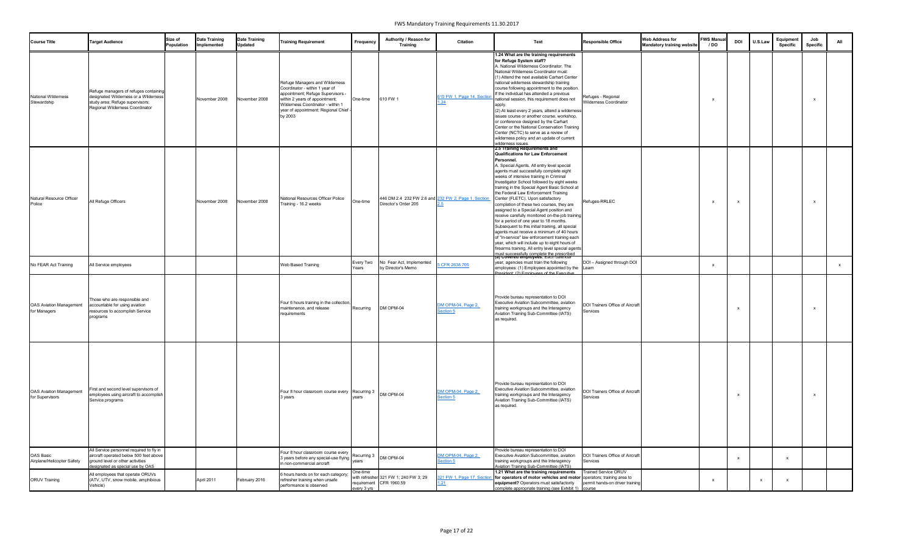| <b>Course Title</b>                               | <b>Target Audience</b>                                                                                                                                     | Size of<br><b>Population</b> | <b>Date Training</b><br>Implemented | <b>Date Training</b><br><b>Updated</b> | <b>Training Requirement</b>                                                                                                                                                                                                    | Frequency               | Authority / Reason for<br>Training                                          | <b>Citation</b>                        | <b>Text</b>                                                                                                                                                                                                                                                                                                                                                                                                                                                                                                                                                                                                                                                                                                                                                                                                                                                                                                                                 | <b>Responsible Office</b>                                      | <b>Web Address for</b><br><b>Mandatory training website</b> | <b>FWS Manua</b><br>/ DO | <b>DOI</b>   | U.S.Law | Equipment<br><b>Specific</b> | Job<br><b>Specific</b> | All |
|---------------------------------------------------|------------------------------------------------------------------------------------------------------------------------------------------------------------|------------------------------|-------------------------------------|----------------------------------------|--------------------------------------------------------------------------------------------------------------------------------------------------------------------------------------------------------------------------------|-------------------------|-----------------------------------------------------------------------------|----------------------------------------|---------------------------------------------------------------------------------------------------------------------------------------------------------------------------------------------------------------------------------------------------------------------------------------------------------------------------------------------------------------------------------------------------------------------------------------------------------------------------------------------------------------------------------------------------------------------------------------------------------------------------------------------------------------------------------------------------------------------------------------------------------------------------------------------------------------------------------------------------------------------------------------------------------------------------------------------|----------------------------------------------------------------|-------------------------------------------------------------|--------------------------|--------------|---------|------------------------------|------------------------|-----|
| <b>National Wilderness</b><br>Stewardship         | Refuge managers of refuges containing<br>designated Wilderness or a Wilderness<br>study area; Refuge supervisors;<br>Regional Wilderness Coordinator       |                              | November 2008                       | November 2008                          | Refuge Managers and Wilderness<br>Coordinator - within 1 year of<br>appointment; Refuge Supervisors -<br>within 2 years of appointment;<br>Wilderness Coordinator - within 1<br>year of appointment; Regional Chief<br>by 2003 | One-time                | 610 FW 1                                                                    | 610 FW 1, Page 14, Section<br>.24      | 1.24 What are the training requirements<br>for Refuge System staff?<br>A. National Wilderness Coordinator. The<br>National Wilderness Coordinator must:<br>(1) Attend the next available Carhart Center<br>national wilderness stewardship training<br>course following appointment to the position.<br>If the individual has attended a previous<br>national session, this requirement does not<br>apply.<br>(2) At least every 2 years, attend a wilderness<br>issues course or another course, workshop,<br>or conference designed by the Carhart<br>Center or the National Conservation Training<br>Center (NCTC) to serve as a review of<br>wilderness policy and an update of current<br>wilderness issues.                                                                                                                                                                                                                           | Refuges - Regional<br>Wilderness Coordinator                   |                                                             |                          |              |         |                              | $\mathbf{x}$           |     |
| Natural Resource Officer<br>Police                | All Refuge Officers                                                                                                                                        |                              | November 2008                       | November 2008                          | National Resources Officer Police<br>Training - 16.2 weeks                                                                                                                                                                     | One-time                | 446 DM 2.4 232 FW 2.6 and 232 FW 2, Page 1, Section<br>Director's Order 205 |                                        | 2.5 Training Requirements and<br>Qualifications for Law Enforcement<br><b>Personnel</b><br>A. Special Agents. All entry level special<br>agents must successfully complete eight<br>weeks of intensive training in Criminal<br>Investigator School followed by eight weeks<br>training in the Special Agent Basic School at<br>the Federal Law Enforcement Training<br>Center (FLETC). Upon satisfactory<br>completion of these two courses, they are<br>assigned to a Special Agent position and<br>receive carefully monitored on-the-job training<br>for a period of one year to 18 months.<br>Subsequent to this initial training, all special<br>agents must receive a minimum of 40 hours<br>of "in-service" law enforcement training each<br>year, which will include up to eight hours of<br>firearms training. All entry level special agents<br>must successfully complete the prescribed<br>(a) Covered employees. Each calendar | Refuges-RRLEC                                                  |                                                             |                          |              |         |                              | $\mathsf{x}$           |     |
| No FEAR Act Training                              | All Service employees                                                                                                                                      |                              |                                     |                                        | Web Based Training                                                                                                                                                                                                             | Every Two<br>Years      | No Fear Act, Implemented<br>by Director's Memo                              | CFR 2638.705                           | year, agencies must train the following<br>employees: (1) Employees appointed by the<br>President: (2) Employees of the Executive                                                                                                                                                                                                                                                                                                                                                                                                                                                                                                                                                                                                                                                                                                                                                                                                           | DOI - Assigned through DOI<br>Learn                            |                                                             |                          |              |         |                              |                        |     |
| <b>OAS Aviation Management</b><br>for Managers    | Those who are responsible and<br>accountable for using aviation<br>resources to accomplish Service<br>programs                                             |                              |                                     |                                        | Four 6 hours training in the collection,<br>maintenance, and release<br>requirements                                                                                                                                           | Recurring               | DM OPM-04                                                                   | DM OPM-04, Page 2,<br>Section 5        | Provide bureau representation to DOI<br>Executive Aviation Subcommittee, aviation<br>training workgroups and the Interagency<br>Aviation Training Sub-Committee (IATS)<br>as required.                                                                                                                                                                                                                                                                                                                                                                                                                                                                                                                                                                                                                                                                                                                                                      | <b>DOI Trainers Office of Aircraft</b><br>Services             |                                                             |                          |              |         |                              | $\mathsf{x}$           |     |
| <b>OAS Aviation Management</b><br>for Supervisors | First and second level supervisors of<br>employees using aircraft to accomplish<br>Service programs                                                        |                              |                                     |                                        | Four 8 hour classroom course every Recurring 3  DM OPM-04<br>3 years                                                                                                                                                           | vears                   |                                                                             | <b>DM OPM-04, Page 2,</b><br>Section 5 | Provide bureau representation to DOI<br>Executive Aviation Subcommittee, aviation<br>training workgroups and the Interagency<br>Aviation Training Sub-Committee (IATS)<br>as required.                                                                                                                                                                                                                                                                                                                                                                                                                                                                                                                                                                                                                                                                                                                                                      | <b>DOI Trainers Office of Aircraft</b><br>Services             |                                                             |                          |              |         |                              | $\mathsf{x}$           |     |
| OAS Basic<br>Airplane/Helicopter Safety           | All Service personnel required to fly in<br>aircraft operated below 500 feet above<br>ground level or other activities<br>designated as special use by OAS |                              |                                     |                                        | Four 8 hour classroom course every<br>3 years before any special-use flying<br>in non-commercial aircraft                                                                                                                      | years                   | $\sqrt{\frac{3}{2}}$ Recurring 3 $\sqrt{\frac{3}{2}}$ DM OPM-04             | DM OPM-04, Page 2,<br>Section 5        | Provide bureau representation to DOI<br>Executive Aviation Subcommittee, aviation<br>training workgroups and the Interagency<br>Aviation Training Sub-Committee (IATS)                                                                                                                                                                                                                                                                                                                                                                                                                                                                                                                                                                                                                                                                                                                                                                      | DOI Trainers Office of Aircraft<br>Services                    |                                                             |                          | $\mathbf{x}$ |         | $\mathbf{x}$                 |                        |     |
| <b>ORUV Training</b>                              | All employees that operate ORUVs<br>(ATV, UTV, snow mobile, amphibious<br>Vehicle)                                                                         |                              | April 2011                          | February 2016                          | 6 hours hands on for each category;<br>refresher training when unsafe<br>performance is observed                                                                                                                               | One-time<br>every 3 yrs | with refresher 321 FW 1; 240 FW 3; 29<br>requirement CFR 1960.59            | 321 FW 1, Page 17, Sectior<br>.21      | 1.21 What are the training requirements<br>for operators of motor vehicles and motor operators; training area to<br>equipment? Operators must satisfactorily<br>complete appropriate training (see Exhibit 1) course                                                                                                                                                                                                                                                                                                                                                                                                                                                                                                                                                                                                                                                                                                                        | <b>Trained Service ORUV</b><br>permit hands-on driver training |                                                             |                          |              | X       | $\mathbf{x}$                 |                        |     |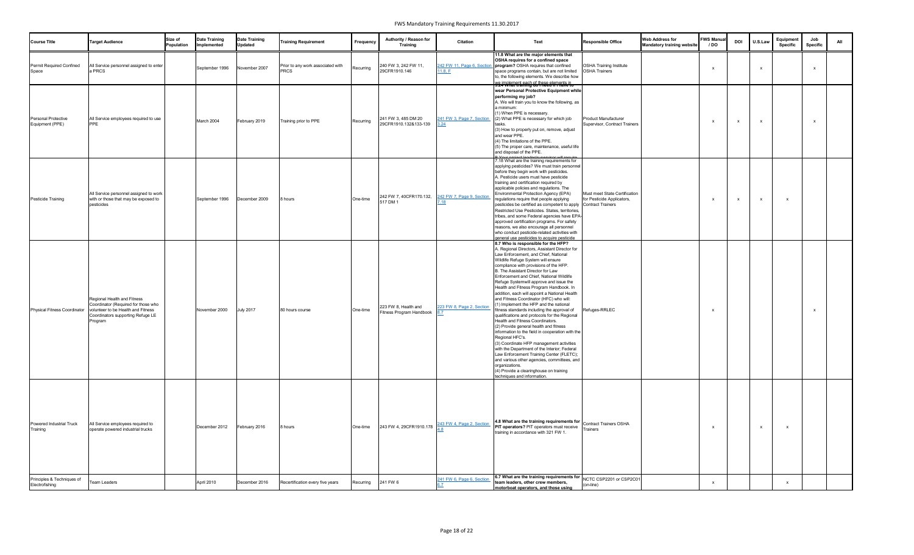| <b>Course Title</b>                           | <b>Target Audience</b>                                                                                                                                   | Size of<br>Population | <b>Date Training</b><br>Implemented | <b>Date Training</b><br><b>Updated</b> | <b>Training Requirement</b>                      | Frequency | Authority / Reason for<br><b>Training</b>        | <b>Citation</b>                  | Text                                                                                                                                                                                                                                                                                                                                                                                                                                                                                                                                                                                                                                                                                                                                                                                                                                                                                                                                                                                                                                                              | <b>Responsible Office</b>                                   | <b>Web Address for</b><br>Mandatory training website | <b>FWS Manua</b><br>/ DO | <b>DOI</b> | U.S.Law      | Equipment<br><b>Specific</b> | Job<br><b>Specific</b> | All |
|-----------------------------------------------|----------------------------------------------------------------------------------------------------------------------------------------------------------|-----------------------|-------------------------------------|----------------------------------------|--------------------------------------------------|-----------|--------------------------------------------------|----------------------------------|-------------------------------------------------------------------------------------------------------------------------------------------------------------------------------------------------------------------------------------------------------------------------------------------------------------------------------------------------------------------------------------------------------------------------------------------------------------------------------------------------------------------------------------------------------------------------------------------------------------------------------------------------------------------------------------------------------------------------------------------------------------------------------------------------------------------------------------------------------------------------------------------------------------------------------------------------------------------------------------------------------------------------------------------------------------------|-------------------------------------------------------------|------------------------------------------------------|--------------------------|------------|--------------|------------------------------|------------------------|-----|
| Permit Required Confined<br>Space             | All Service personnel assigned to enter<br>a PRCS                                                                                                        |                       | September 1996                      | November 2007                          | Prior to any work associated with<br><b>PRCS</b> | Recurring | 240 FW 3, 242 FW 11,<br>29CFR1910.146            | 11.8, F                          | 11.8 What are the major elements that<br>OSHA requires for a confined space<br>242 FW 11, Page 6, Section   program? OSHA requires that confined<br>space programs contain, but are not limited<br>to, the following elements. We describe how<br>we implement each of these elements in<br>3.24 what training do Theed in Thave to                                                                                                                                                                                                                                                                                                                                                                                                                                                                                                                                                                                                                                                                                                                               | <b>OSHA Training Institute</b><br><b>OSHA Trainers</b>      |                                                      | $\mathbf{v}$             |            | $\mathsf{x}$ |                              | $\mathbf{x}$           |     |
| <b>Personal Protective</b><br>Equipment (PPE) | All Service employees required to use<br>PPE                                                                                                             |                       | March 2004                          | February 2019                          | Training prior to PPE                            | Recurring | 241 FW 3, 485 DM 20<br>29CFR1910.132&133-139     | 241 FW 3, Page 7, Section<br>.24 | wear Personal Protective Equipment while<br>performing my job?<br>A. We will train you to know the following, as<br>a minimum:<br>(1) When PPE is necessary.<br>(2) What PPE is necessary for which job<br>tasks.<br>(3) How to properly put on, remove, adjust<br>and wear PPE.<br>(4) The limitations of the PPE.<br>(5) The proper care, maintenance, useful life<br>and disposal of the PPE.                                                                                                                                                                                                                                                                                                                                                                                                                                                                                                                                                                                                                                                                  | Product Manufacturer<br>Supervisor, Contract Trainers       |                                                      | $\mathbf{x}$             |            | $\mathsf{x}$ |                              | $\mathbf{x}$           |     |
| Pesticide Training                            | All Service personnel assigned to work<br>with or those that may be exposed to<br>pesticides                                                             |                       | September 1996                      | December 2009                          | 8 hours                                          | One-time  | 242 FW 7, 40CFR170.132,<br>517 DM 1              | 242 FW 7, Page 9, Section<br>18' | 7.18 What are the training requirements for<br>applying pesticides? We must train personnel<br>before they begin work with pesticides.<br>A. Pesticide users must have pesticide<br>training and certification required by<br>applicable policies and regulations. The<br>Environmental Protection Agency (EPA)<br>regulations require that people applying<br>pesticides be certified as competent to apply Contract Trainers<br>Restricted Use Pesticides. States, territories,<br>tribes, and some Federal agencies have EPA-<br>approved certification programs. For safety<br>reasons, we also encourage all personnel<br>who conduct pesticide-related activities with<br>general use pesticides to acquire pesticide                                                                                                                                                                                                                                                                                                                                       | Must meet State Certification<br>for Pesticide Applicators, |                                                      | $\mathbf{x}$             |            | $\mathsf{x}$ |                              |                        |     |
| <b>Physical Fitness Coordinator</b>           | Regional Health and Fitness<br>Coordinator (Required for those who<br>volunteer to be Health and Fitness<br>Coordinators supporting Refuge LE<br>Program |                       | November 2000                       | <b>July 2017</b>                       | 80 hours course                                  | One-time  | 223 FW 8, Health and<br>Fitness Program Handbook | 223 FW 8, Page 2, Section        | 8.7 Who is responsible for the HFP?<br>A. Regional Directors, Assistant Director for<br>Law Enforcement, and Chief, National<br>Wildlife Refuge System will ensure<br>compliance with provisions of the HFP.<br>B. The Assistant Director for Law<br>Enforcement and Chief, National Wildlife<br>Refuge Systemwill approve and issue the<br>Health and Fitness Program Handbook. In<br>addition, each will appoint a National Health<br>and Fitness Coordinator (HFC) who will:<br>(1) Implement the HFP and the national<br>fitness standards including the approval of<br>qualifications and protocols for the Regional<br>Health and Fitness Coordinators.<br>(2) Provide general health and fitness<br>information to the field in cooperation with the<br>Regional HFC's.<br>(3) Coordinate HFP management activities<br>with the Department of the Interior; Federal<br>Law Enforcement Training Center (FLETC);<br>and various other agencies, committees, and<br>organizations.<br>(4) Provide a clearinghouse on training<br>techniques and information. | Refuges-RRLEC                                               |                                                      | $\mathbf{Y}$             |            |              |                              | $\mathbf{x}$           |     |
| Powered Industrial Truck<br>Training          | All Service employees required to<br>operate powered industrial trucks                                                                                   |                       | December 2012                       | February 2016                          | 8 hours                                          | One-time  | 243 FW 4, 29CFR1910.178                          | 243 FW 4, Page 2, Section        | 4.8 What are the training requirements for Contract Trainers OSHA<br><b>PIT operators?</b> PIT operators must receive<br>training in accordance with 321 FW 1.                                                                                                                                                                                                                                                                                                                                                                                                                                                                                                                                                                                                                                                                                                                                                                                                                                                                                                    | <b>Trainers</b>                                             |                                                      | X                        |            | $\mathsf{x}$ |                              |                        |     |
| Principles & Techniques of<br>Electrofishing  | <b>Team Leaders</b>                                                                                                                                      |                       | April 2010                          | December 2016                          | Recertification every five years                 | Recurring | 241 FW 6                                         | 241 FW 6, Page 6, Section        | 6.7 What are the training requirements for NCTC CSP2201 or CSP2C01<br>team leaders, other crew members,<br>motorboat operators, and those using                                                                                                                                                                                                                                                                                                                                                                                                                                                                                                                                                                                                                                                                                                                                                                                                                                                                                                                   | (on-line)                                                   |                                                      | $\mathsf{X}$             |            |              |                              |                        |     |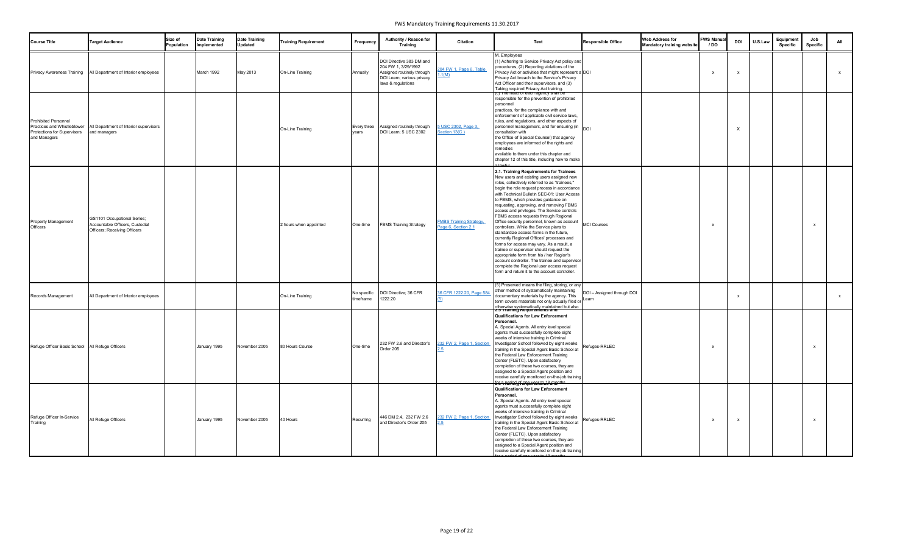| <b>Course Title</b>                                                                                       | <b>Target Audience</b>                                                                                | Size of<br>Population | <b>Date Training</b><br>Implemented | <b>Date Training</b><br><b>Updated</b> | <b>Training Requirement</b> | Frequency                | Authority / Reason for<br><b>Training</b>                                                                                         | <b>Citation</b>                                      | <b>Text</b>                                                                                                                                                                                                                                                                                                                                                                                                                                                                                                                                                                                                                                                                                                                                                                                                                                                                             | <b>Responsible Office</b>           | <b>Web Address for</b><br><b>Mandatory training website</b> | <b>FWS Manual</b><br>/ DO | <b>DOI</b> | U.S.Law | Equipment<br><b>Specific</b> | Job<br><b>Specific</b> | All          |
|-----------------------------------------------------------------------------------------------------------|-------------------------------------------------------------------------------------------------------|-----------------------|-------------------------------------|----------------------------------------|-----------------------------|--------------------------|-----------------------------------------------------------------------------------------------------------------------------------|------------------------------------------------------|-----------------------------------------------------------------------------------------------------------------------------------------------------------------------------------------------------------------------------------------------------------------------------------------------------------------------------------------------------------------------------------------------------------------------------------------------------------------------------------------------------------------------------------------------------------------------------------------------------------------------------------------------------------------------------------------------------------------------------------------------------------------------------------------------------------------------------------------------------------------------------------------|-------------------------------------|-------------------------------------------------------------|---------------------------|------------|---------|------------------------------|------------------------|--------------|
| <b>Privacy Awareness Training</b>                                                                         | All Department of Interior employees                                                                  |                       | March 1992                          | May 2013                               | On-Line Training            | Annually                 | DOI Directive 383 DM and<br>204 FW 1, 3/29/1992<br>Assigned routinely through<br>DOI Learn; various privacy<br>laws & regulations | 204 FW 1, Page 6, Table<br>.1(M)                     | M. Employees<br>(1) Adhering to Service Privacy Act policy and<br>procedures, (2) Reporting violations of the<br>Privacy Act or activities that might represent a DOI<br>Privacy Act breach to the Service's Privacy<br>Act Officer and their supervisors, and (3)<br>Taking required Privacy Act training.                                                                                                                                                                                                                                                                                                                                                                                                                                                                                                                                                                             |                                     |                                                             |                           |            |         |                              |                        | $\mathsf{x}$ |
| <b>Prohibited Personnel</b><br>Practices and Whistleblower<br>Protections for Supervisors<br>and Managers | All Department of Interior supervisors<br>and managers                                                |                       |                                     |                                        | On-Line Training            | Every three<br>years     | Assigned routinely through<br>DOI Learn; 5 USC 2302                                                                               | USC 2302, Page 3,<br>Section 13(C)                   | <mark>(כ) דחפ הפפס סדפפכה פופחכץ snail <del>be</del></mark><br>responsible for the prevention of prohibited<br>personnel<br>practices, for the compliance with and<br>enforcement of applicable civil service laws,<br>rules, and regulations, and other aspects of<br>personnel management, and for ensuring (in DOI<br>consultation with<br>the Office of Special Counsel) that agency<br>employees are informed of the rights and<br>remedies<br>available to them under this chapter and<br>chapter 12 of this title, including how to make                                                                                                                                                                                                                                                                                                                                         |                                     |                                                             |                           |            |         |                              |                        |              |
| Property Management<br>Officers                                                                           | GS1101 Occupational Series;<br>Accountable Officers, Custodial<br><b>Officers; Receiving Officers</b> |                       |                                     |                                        | 2 hours when appointed      | One-time                 | <b>FBMS Training Strategy</b>                                                                                                     | <b>FMBS Training Strategy</b><br>Page 6, Section 2.1 | 2.1. Training Requirements for Trainees<br>New users and existing users assigned new<br>roles, collectively referred to as "trainees,"<br>begin the role request process in accordance<br>with Technical Bulletin SEC-01: User Access<br>to FBMS, which provides guidance on<br>requesting, approving, and removing FBMS<br>access and privileges. The Service controls<br>FBMS access requests through Regional<br>Office security personnel, known as account<br>controllers. While the Service plans to<br>standardize access forms in the future,<br>currently Regional Offices' processes and<br>forms for access may vary. As a result, a<br>trainee or supervisor should request the<br>appropriate form from his / her Region's<br>account controller. The trainee and supervisor<br>complete the Regional user access request<br>form and return it to the account controller. | <b>MCI Courses</b>                  |                                                             |                           |            |         |                              | $\mathbf{x}$           |              |
| Records Management                                                                                        | All Department of Interior employees                                                                  |                       |                                     |                                        | On-Line Training            | No specific<br>timeframe | DOI Directive; 36 CFR<br>1222.20                                                                                                  | 36 CFR 1222.20, Page 584                             | (5) Preserved means the filing, storing, or any<br>other method of systematically maintaining<br>documentary materials by the agency. This<br>term covers materials not only actually filed or<br>otherwise systematically maintained but also<br>2.5 Training Requirements and                                                                                                                                                                                                                                                                                                                                                                                                                                                                                                                                                                                                         | DOI - Assigned through DOI<br>Learn |                                                             |                           |            |         |                              |                        | X.           |
| Refuge Officer Basic School   All Refuge Officers                                                         |                                                                                                       |                       | January 1995                        | November 2005                          | 80 Hours Course             | One-time                 | 232 FW 2.6 and Director's<br>Order 205                                                                                            | 232 FW 2, Page 1, Section                            | <b>Qualifications for Law Enforcement</b><br>Personnel.<br>A. Special Agents. All entry level special<br>agents must successfully complete eight<br>weeks of intensive training in Criminal<br>Investigator School followed by eight weeks<br>training in the Special Agent Basic School at<br>the Federal Law Enforcement Training<br>Center (FLETC). Upon satisfactory<br>completion of these two courses, they are<br>assigned to a Special Agent position and<br>receive carefully monitored on-the-job training<br><del>2:5 า railing kega remands ana<sup>ntes</sup></del>                                                                                                                                                                                                                                                                                                        | Refuges-RRLEC                       |                                                             |                           |            |         |                              | $\mathsf{x}$           |              |
| Refuge Officer In-Service<br>Training                                                                     | All Refuge Officers                                                                                   |                       | January 1995                        | November 2005                          | 40 Hours                    | Recurring                | 446 DM 2.4, 232 FW 2.6<br>and Director's Order 205                                                                                | 232 FW 2, Page 1, Section                            | <b>Qualifications for Law Enforcement</b><br>Personnel.<br>A. Special Agents. All entry level special<br>agents must successfully complete eight<br>weeks of intensive training in Criminal<br>Investigator School followed by eight weeks<br>training in the Special Agent Basic School at<br>the Federal Law Enforcement Training<br>Center (FLETC). Upon satisfactory<br>completion of these two courses, they are<br>assigned to a Special Agent position and<br>receive carefully monitored on-the-job training                                                                                                                                                                                                                                                                                                                                                                    | Refuges-RRLEC                       |                                                             |                           |            |         |                              | $\mathsf{x}$           |              |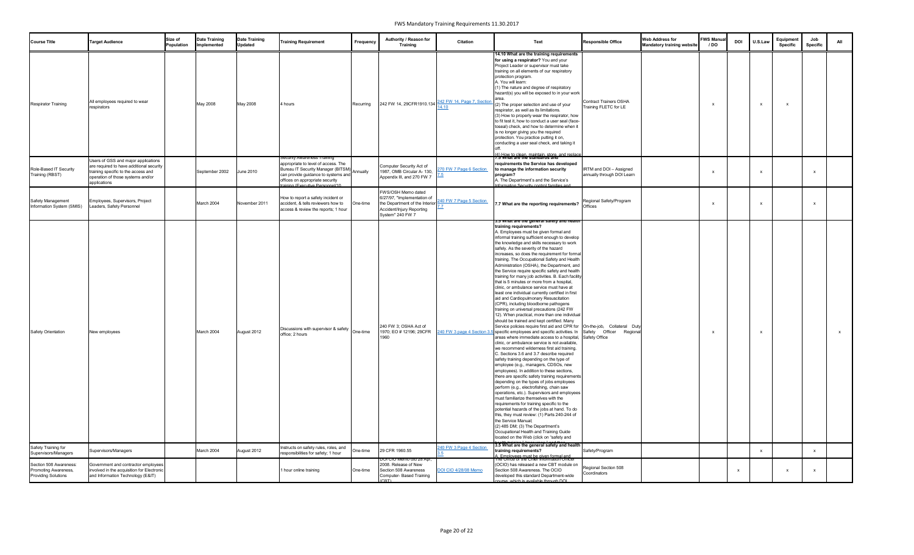| <b>Course Title</b>                                                          | <b>Target Audience</b>                                                                                                                                                      | Size of<br>Population | <b>Date Training</b><br>Implemented | <b>Date Training</b><br><b>Updated</b> | <b>Training Requirement</b>                                                                                                                                                                                            | Frequency | Authority / Reason for<br><b>Training</b>                                                                                                   | <b>Citation</b>             | Text                                                                                                                                                                                                                                                                                                                                                                                                                                                                                                                                                                                                                                                                                                                                                                                                                                                                                                                                                                                                                                                                                                                                                                                                                                                                                                                                                                                                                                                                                                                                                                                                                                                                                                                                                                                                                                                                                                      | <b>Responsible Office</b>                             | <b>Web Address for</b><br><b>Mandatory training website</b> | <b>FWS Manual</b><br>/ DO | <b>DOI</b> | U.S.Law      | Equipment<br><b>Specific</b> | Job<br><b>Specific</b> | All          |
|------------------------------------------------------------------------------|-----------------------------------------------------------------------------------------------------------------------------------------------------------------------------|-----------------------|-------------------------------------|----------------------------------------|------------------------------------------------------------------------------------------------------------------------------------------------------------------------------------------------------------------------|-----------|---------------------------------------------------------------------------------------------------------------------------------------------|-----------------------------|-----------------------------------------------------------------------------------------------------------------------------------------------------------------------------------------------------------------------------------------------------------------------------------------------------------------------------------------------------------------------------------------------------------------------------------------------------------------------------------------------------------------------------------------------------------------------------------------------------------------------------------------------------------------------------------------------------------------------------------------------------------------------------------------------------------------------------------------------------------------------------------------------------------------------------------------------------------------------------------------------------------------------------------------------------------------------------------------------------------------------------------------------------------------------------------------------------------------------------------------------------------------------------------------------------------------------------------------------------------------------------------------------------------------------------------------------------------------------------------------------------------------------------------------------------------------------------------------------------------------------------------------------------------------------------------------------------------------------------------------------------------------------------------------------------------------------------------------------------------------------------------------------------------|-------------------------------------------------------|-------------------------------------------------------------|---------------------------|------------|--------------|------------------------------|------------------------|--------------|
| <b>Respirator Training</b>                                                   | All employees required to wear<br>respirators                                                                                                                               |                       | May 2008                            | May 2008                               | 4 hours                                                                                                                                                                                                                | Recurring | 242 FW 14, 29CFR1910.134                                                                                                                    | 242 FW 14, Page 7, Section  | 14.10 What are the training requirements<br>for using a respirator? You and your<br>Project Leader or supervisor must take<br>training on all elements of our respiratory<br>protection program.<br>A. You will learn:<br>(1) The nature and degree of respiratory<br>hazard(s) you will be exposed to in your work<br>(2) The proper selection and use of your<br>respirator, as well as its limitations.<br>(3) How to properly wear the respirator, how<br>to fit test it, how to conduct a user seal (face-<br>toseal) check, and how to determine when it<br>is no longer giving you the required<br>protection. You practice putting it on,<br>conducting a user seal check, and taking it                                                                                                                                                                                                                                                                                                                                                                                                                                                                                                                                                                                                                                                                                                                                                                                                                                                                                                                                                                                                                                                                                                                                                                                                          | Contract Trainers OSHA<br>Training FLETC for LE       |                                                             |                           |            | $\mathsf{x}$ |                              |                        |              |
| Role-Based IT Security<br>Training (RBST)                                    | Users of GSS and major applications<br>are required to have additional security<br>training specific to the access and<br>operation of those systems and/or<br>applications |                       | September 2002                      | <b>June 2010</b>                       | Security Awareness Training<br>appropriate to level of access. The<br>Bureau IT Security Manager (BITSM)<br>can provide guidance to systems and<br>offices on appropriate security<br>training (Executive Personnel/10 |           | Computer Security Act of<br>1987, OMB Circular A- 130,<br>Appendix III, and 270 FW 7                                                        | 270 FW 7 Page 6 Section     | (4) How to clean, maintain, store, and replace<br>7.5 What are the standards and<br>requirements the Service has developed<br>to manage the information security<br>program?<br>A. The Department's and the Service's<br>Information Security control families and                                                                                                                                                                                                                                                                                                                                                                                                                                                                                                                                                                                                                                                                                                                                                                                                                                                                                                                                                                                                                                                                                                                                                                                                                                                                                                                                                                                                                                                                                                                                                                                                                                        | IRTM and DOI - Assigned<br>annually through DOI Learn |                                                             |                           |            | $\mathsf{x}$ |                              | $\mathsf{x}$           |              |
| Safety Management<br>Information System (SMIS)                               | Employees, Supervisors, Project<br>Leaders, Safety Personnel                                                                                                                |                       | March 2004                          | November 2011                          | How to report a safety incident or<br>accident, & tells reviewers how to<br>access & review the reports; 1 hour                                                                                                        | One-time  | FWS/OSH Memo dated<br>6/27/97, "Implementation of<br>the Department of the Interior<br>Accident/Injury Reporting<br><b>System" 240 FW 7</b> | 240 FW 7 Page 5 Section     | 7.7 What are the reporting requirements?                                                                                                                                                                                                                                                                                                                                                                                                                                                                                                                                                                                                                                                                                                                                                                                                                                                                                                                                                                                                                                                                                                                                                                                                                                                                                                                                                                                                                                                                                                                                                                                                                                                                                                                                                                                                                                                                  | Regional Safety/Program<br>Offices                    |                                                             |                           |            | $\mathsf{x}$ |                              | $\mathsf{x}$           |              |
| <b>Safety Orientation</b>                                                    | New employees                                                                                                                                                               |                       | March 2004                          | August 2012                            | Discussions with supervisor & safety one-time<br>office; 2 hours                                                                                                                                                       |           | 240 FW 3: OSHA Act of<br>1970; EO # 12196; 29CFR<br>1960                                                                                    | 240 FW 3 page 4 Section 3.  | .ə vvnat are the general salety and healtr<br>training requirements?<br>A. Employees must be given formal and<br>informal training sufficient enough to develop<br>the knowledge and skills necessary to work<br>safely. As the severity of the hazard<br>increases, so does the requirement for formal<br>training. The Occupational Safety and Health<br>Administration (OSHA), the Department, and<br>the Service require specific safety and health<br>training for many job activities. B. Each facility<br>that is 5 minutes or more from a hospital,<br>clinic, or ambulance service must have at<br>least one individual currently certified in first<br>aid and Cardiopulmonary Resuscitation<br>(CPR), including bloodborne pathogens<br>training on universal precautions (242 FW<br>12). When practical, more than one individual<br>should be trained and kept certified. Many<br>Service policies require first aid and CPR for On-the-job, Collateral Duty<br>specific employees and specific activities. In<br>areas where immediate access to a hospital, Safety Office<br>clinic, or ambulance service is not available,<br>we recommend wilderness first aid training.<br>C. Sections 3.6 and 3.7 describe required<br>safety training depending on the type of<br>employee (e.g., managers, CDSOs, new<br>employees). In addition to these sections,<br>there are specific safety training requirements<br>depending on the types of jobs employees<br>perform (e.g., electrofishing, chain saw<br>operations, etc.). Supervisors and employees<br>must familiarize themselves with the<br>requirements for training specific to the<br>potential hazards of the jobs at hand. To do<br>this, they must review: (1) Parts 240-244 of<br>the Service Manual;<br>(2) 485 DM; (3) The Department's<br>Occupational Health and Training Guide<br>located on the Web (click on "safety and | Safety Officer Regional                               |                                                             |                           |            | $\mathsf{x}$ |                              |                        | $\mathbf{x}$ |
| Safety Training for<br>Supervisors/Managers                                  | Supervisors/Managers                                                                                                                                                        |                       | March 2004                          | August 2012                            | Instructs on safety rules, roles, and<br>responsibilities for safety; 1 hour                                                                                                                                           | One-time  | 29 CFR 1960.55<br><u>DOI CIO Memo ata 28 Apr,</u>                                                                                           | 240 FW 3 Page 4 Section     | 3.5 What are the general safety and health<br>training requirements?<br>). Employees must be given formal and<br>The Uffice of the Unier Information Ufficer                                                                                                                                                                                                                                                                                                                                                                                                                                                                                                                                                                                                                                                                                                                                                                                                                                                                                                                                                                                                                                                                                                                                                                                                                                                                                                                                                                                                                                                                                                                                                                                                                                                                                                                                              | Safety/Program                                        |                                                             |                           |            | $\mathsf{X}$ |                              | $\mathsf{X}$           |              |
| Section 508 Awareness:<br>Promoting Awareness,<br><b>Providing Solutions</b> | Government and contractor employees<br>involved in the acquisition for Electronic<br>and Information Technology (E&IT)                                                      |                       |                                     |                                        | 1 hour online training                                                                                                                                                                                                 | One-time  | 2008. Release of New<br>Section 508 Awareness<br>Computer-Based Training<br>(CRT)                                                           | <b>DOI CIO 4/28/08 Memo</b> | (OCIO) has released a new CBT module on<br>Section 508 Awareness. The OCIO<br>developed this standard Department-wide<br>ourse, which is available through DOL                                                                                                                                                                                                                                                                                                                                                                                                                                                                                                                                                                                                                                                                                                                                                                                                                                                                                                                                                                                                                                                                                                                                                                                                                                                                                                                                                                                                                                                                                                                                                                                                                                                                                                                                            | Regional Section 508<br>Coordinators                  |                                                             |                           |            |              |                              | $\mathsf{X}$           |              |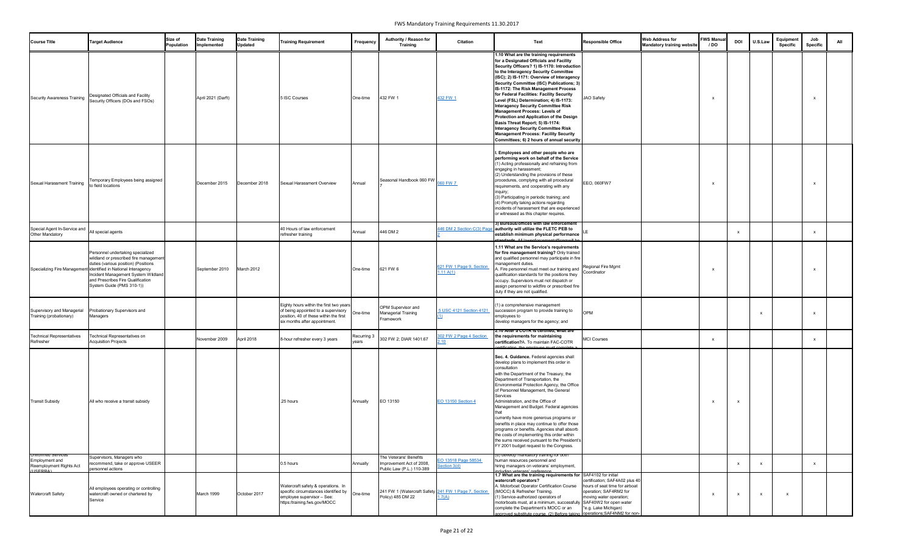| <b>Course Title</b>                                                                 | <b>Target Audience</b>                                                                                                                                                                                                                                                                          | Size of<br><b>Population</b> | <b>Date Training</b><br>Implemented | <b>Date Training</b><br><b>Updated</b> | <b>Training Requirement</b>                                                                                                                               | Frequency            | Authority / Reason for<br><b>Training</b>                                       | <b>Citation</b>                       | Text                                                                                                                                                                                                                                                                                                                                                                                                                                                                                                                                                                                                                                                                                                                  | <b>Responsible Office</b>                                                                                                                     | <b>Web Address for</b><br><b>Mandatory training website</b> | <b>FWS Manua</b><br>/ DO | <b>DOI</b> | U.S.Law      | Equipment<br>Specific | Job<br><b>Specific</b>    | All |
|-------------------------------------------------------------------------------------|-------------------------------------------------------------------------------------------------------------------------------------------------------------------------------------------------------------------------------------------------------------------------------------------------|------------------------------|-------------------------------------|----------------------------------------|-----------------------------------------------------------------------------------------------------------------------------------------------------------|----------------------|---------------------------------------------------------------------------------|---------------------------------------|-----------------------------------------------------------------------------------------------------------------------------------------------------------------------------------------------------------------------------------------------------------------------------------------------------------------------------------------------------------------------------------------------------------------------------------------------------------------------------------------------------------------------------------------------------------------------------------------------------------------------------------------------------------------------------------------------------------------------|-----------------------------------------------------------------------------------------------------------------------------------------------|-------------------------------------------------------------|--------------------------|------------|--------------|-----------------------|---------------------------|-----|
| <b>Security Awareness Training</b>                                                  | Designated Officials and Facility<br>Security Officers (DOs and FSOs)                                                                                                                                                                                                                           |                              | April 2021 (Darft)                  |                                        | 5 ISC Courses                                                                                                                                             | One-time             | 432 FW 1                                                                        | 432 FW 1                              | 1.10 What are the training requirements<br>for a Designated Officials and Facility<br>Security Officers? 1) IS-1170: Introduction<br>to the Interagency Security Committee<br>(ISC); 2) IS-1171: Overview of Interagency<br>Security Committee (ISC) Publications; 3)<br>IS-1172: The Risk Management Process<br>for Federal Facilities: Facility Security<br>Level (FSL) Determination; 4) IS-1173:<br><b>Interagency Security Committee Risk</b><br><b>Management Process: Levels of</b><br>Protection and Application of the Design<br>Basis Threat Report; 5) IS-1174:<br><b>Interagency Security Committee Risk</b><br><b>Management Process: Facility Security</b><br>Committees; 6) 2 hours of annual security | JAO Safety                                                                                                                                    |                                                             |                          |            |              |                       | X                         |     |
| Sexual Harassment Training                                                          | Temporary Employees being assigned<br>to field locations                                                                                                                                                                                                                                        |                              | December 2015                       | December 2018                          | Sexual Harassment Overview                                                                                                                                | Annual               | Seasonal Handbook 060 FW                                                        | 060 FW 7                              | I. Employees and other people who are<br>performing work on behalf of the Service<br>(1) Acting professionally and refraining from<br>engaging in harassment;<br>(2) Understanding the provisions of these<br>procedures, complying with all procedural<br>requirements, and cooperating with any<br>inquiry;<br>(3) Participating in periodic training; and<br>(4) Promptly taking actions regarding<br>incidents of harassment that are experienced<br>or witnessed as this chapter requires.                                                                                                                                                                                                                       | EEO, 060FW7                                                                                                                                   |                                                             |                          |            |              |                       | X                         |     |
| Special Agent In-Service and<br>Other Mandatory                                     | All special agents                                                                                                                                                                                                                                                                              |                              |                                     |                                        | 40 Hours of law enforcement<br>refresher training                                                                                                         | Annual               | 446 DM 2                                                                        | 46 DM 2 Section C(3) Page             | 3) Bureaus/offices with law enforcement<br>authority will utilize the FLETC PEB to<br>establish minimum physical performance<br>standards. All lawenforcementofficerswill be                                                                                                                                                                                                                                                                                                                                                                                                                                                                                                                                          |                                                                                                                                               |                                                             |                          |            |              |                       | $\boldsymbol{\mathsf{x}}$ |     |
|                                                                                     | Personnel undertaking specialized<br>wildland or prescribed fire management<br>duties (various position) (Positions<br>Specializing Fire Management identified in National Interagency<br>Incident Management System Wildland<br>and Prescribes Fire Qualification<br>System Guide (PMS 310-1)) |                              | September 2010                      | March 2012                             |                                                                                                                                                           | One-time             | 621 FW 6                                                                        | 621 FW 1 Page 9, Section<br>1.11 A(1) | 1.11 What are the Service's requirements<br>for fire management training? Only trained<br>and qualified personnel may participate in fire<br>management duties.<br>A. Fire personnel must meet our training and Regional Fire Mgmt<br>qualification standards for the positions they Coordinator<br>occupy. Supervisors must not dispatch or<br>assign personnel to wildfire or prescribed fire<br>duty if they are not qualified.                                                                                                                                                                                                                                                                                    |                                                                                                                                               |                                                             |                          |            |              |                       | X                         |     |
| Supervisory and Managerial<br>Training (probationary)                               | Probationary Supervisors and<br>Managers                                                                                                                                                                                                                                                        |                              |                                     |                                        | Eighty hours within the first two years<br>of being appointed to a supervisory<br>position, 40 of these within the first<br>six months after appointment. | One-time             | OPM Supervisor and<br><b>Managerial Training</b><br>Framework                   | 5 USC 4121 Section 4121               | (1) a comprehensive management<br>succession program to provide training to<br>employees to<br>develop managers for the agency; and                                                                                                                                                                                                                                                                                                                                                                                                                                                                                                                                                                                   | <b>OPM</b>                                                                                                                                    |                                                             |                          |            | $\mathbf{x}$ |                       | $\mathsf{x}$              |     |
| <b>Technical Representatives</b><br>Refresher                                       | Technical Representatives on<br><b>Acquisition Projects</b>                                                                                                                                                                                                                                     |                              | November 2009                       | April 2018                             | 8-hour refresher every 3 years                                                                                                                            | Recurring 3<br>years | 302 FW 2, DIAR 1401.67                                                          | <b>802 FW 2 Page 4 Section</b><br>.10 | 2.10 After a COTR is certified, what are<br>the requirements for maintaining<br>certification?A. To maintain FAC-COTR<br>ertification, the employee must complete a                                                                                                                                                                                                                                                                                                                                                                                                                                                                                                                                                   | <b>MCI Courses</b>                                                                                                                            |                                                             |                          |            |              |                       | $\mathsf{x}$              |     |
| <b>Transit Subsidy</b>                                                              | All who receive a transit subsidy                                                                                                                                                                                                                                                               |                              |                                     |                                        | .25 hours                                                                                                                                                 | Annually             | EO 13150                                                                        | <b>EO 13150 Section 4</b>             | Sec. 4. Guidance. Federal agencies shall<br>develop plans to implement this order in<br>consultation<br>with the Department of the Treasury, the<br>Department of Transportation, the<br>Environmental Protection Agency, the Office<br>of Personnel Management, the General<br>Services<br>Administration, and the Office of<br>Management and Budget. Federal agencies<br>that<br>currently have more generous programs or<br>benefits in place may continue to offer those<br>programs or benefits. Agencies shall absorb<br>the costs of implementing this order within<br>the sums received pursuant to the President's<br>FY 2001 budget request to the Congress.                                               |                                                                                                                                               |                                                             |                          |            |              |                       |                           |     |
| Uniformed Services<br><b>Employment and</b><br>Reemployment Rights Act<br>(11CEDDA) | Supervisors, Managers who<br>recommend, take or approve USEER<br>personnel actions                                                                                                                                                                                                              |                              |                                     |                                        | 0.5 hours                                                                                                                                                 | Annually             | The Veterans' Benefits<br>Improvement Act of 2008,<br>Public Law (P.L.) 110-389 | EO 13518 Page 58534<br>Section 3(d)   | a) develop mandatory training for both<br>human resources personnel and<br>hiring managers on veterans' employment,<br><u>icluding veterans' preference.</u>                                                                                                                                                                                                                                                                                                                                                                                                                                                                                                                                                          |                                                                                                                                               |                                                             |                          |            |              |                       | $\mathsf{x}$              |     |
| <b>Watercraft Safety</b>                                                            | All employees operating or controlling<br>watercraft owned or chartered by<br>Service                                                                                                                                                                                                           |                              | March 1999                          | October 2017                           | Watercraft safety & operations. In<br>specific circumstances identified by<br>employee supervisor - See:<br>https:/training.fws.gov/MOCC                  | One-time             | 241 FW 1 (Watercraft Safety 241 FW 1 Page 7, Section<br>Policy) 485 DM 22       | .7(A)                                 | 1.7 What are the training requirements for SAF4102 for initial<br>watercraft operators?<br>A. Motorboat Operator Certification Course<br>(MOCC) & Refresher Training.<br>(1) Service-authorized operators of<br>motorboats must, at a minimum, successfully SAF40W2 for open water<br>complete the Department's MOCC or an<br>approved substitute course. (2) Before taking operations; SAF4NM2 for non-                                                                                                                                                                                                                                                                                                              | certification; SAF4A02 plus 40<br>hours of seat time for airboat<br>operation; SAF4RM2 for<br>moving water operation;<br>*e.g. Lake Michigan) |                                                             |                          |            | $\mathsf{x}$ | X                     |                           |     |